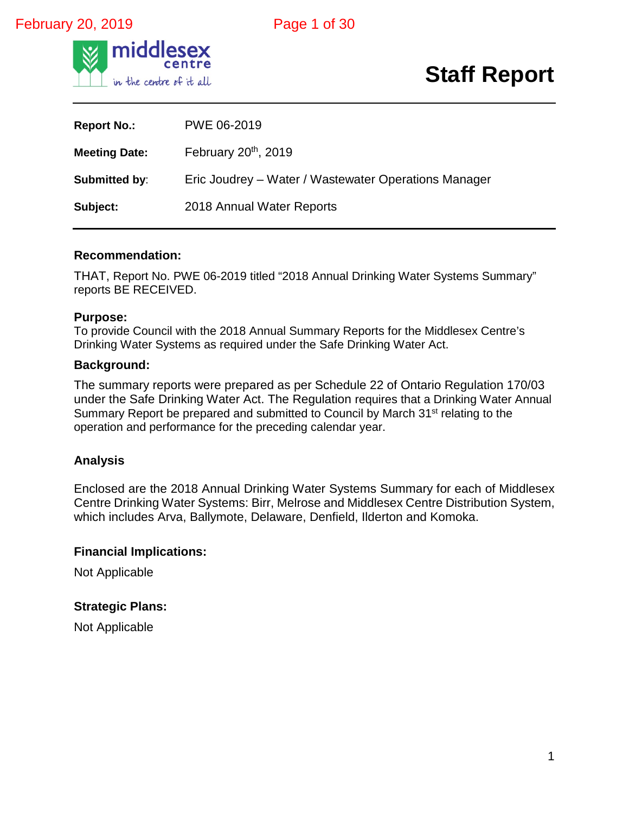#### February 20, 2019 **Page 1 of 30**



## **Staff Report**

| <b>Report No.:</b>   | PWE 06-2019                                          |
|----------------------|------------------------------------------------------|
| <b>Meeting Date:</b> | February 20 <sup>th</sup> , 2019                     |
| Submitted by:        | Eric Joudrey – Water / Wastewater Operations Manager |
| Subject:             | 2018 Annual Water Reports                            |

#### **Recommendation:**

THAT, Report No. PWE 06-2019 titled "2018 Annual Drinking Water Systems Summary" reports BE RECEIVED.

#### **Purpose:**

To provide Council with the 2018 Annual Summary Reports for the Middlesex Centre's Drinking Water Systems as required under the Safe Drinking Water Act.

#### **Background:**

The summary reports were prepared as per Schedule 22 of Ontario Regulation 170/03 under the Safe Drinking Water Act. The Regulation requires that a Drinking Water Annual Summary Report be prepared and submitted to Council by March 31<sup>st</sup> relating to the operation and performance for the preceding calendar year.

#### **Analysis**

Enclosed are the 2018 Annual Drinking Water Systems Summary for each of Middlesex Centre Drinking Water Systems: Birr, Melrose and Middlesex Centre Distribution System, which includes Arva, Ballymote, Delaware, Denfield, Ilderton and Komoka.

#### **Financial Implications:**

Not Applicable

#### **Strategic Plans:**

Not Applicable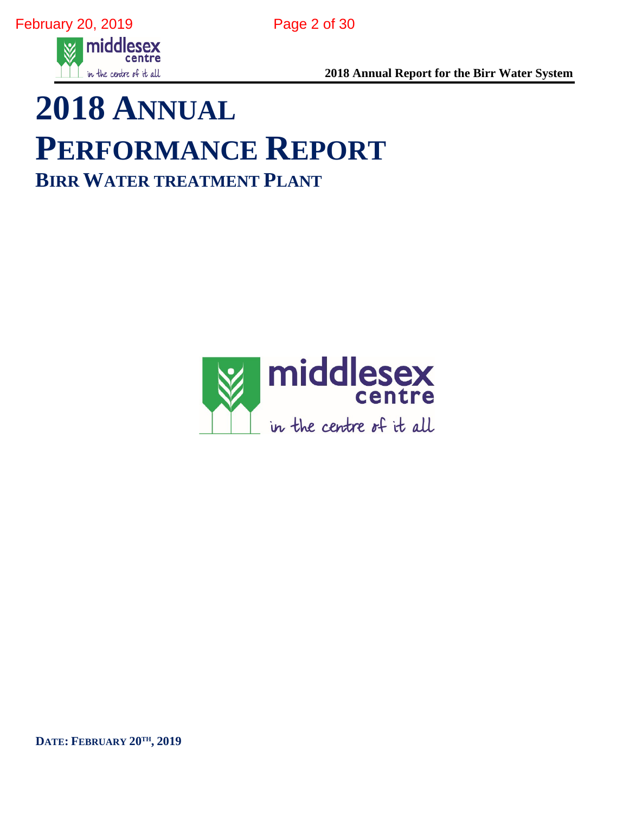

**2018 Annual Report for the Birr Water System**

# **2018 ANNUAL PERFORMANCE REPORT BIRR WATER TREATMENT PLANT**



**DATE: FEBRUARY 20TH, 2019**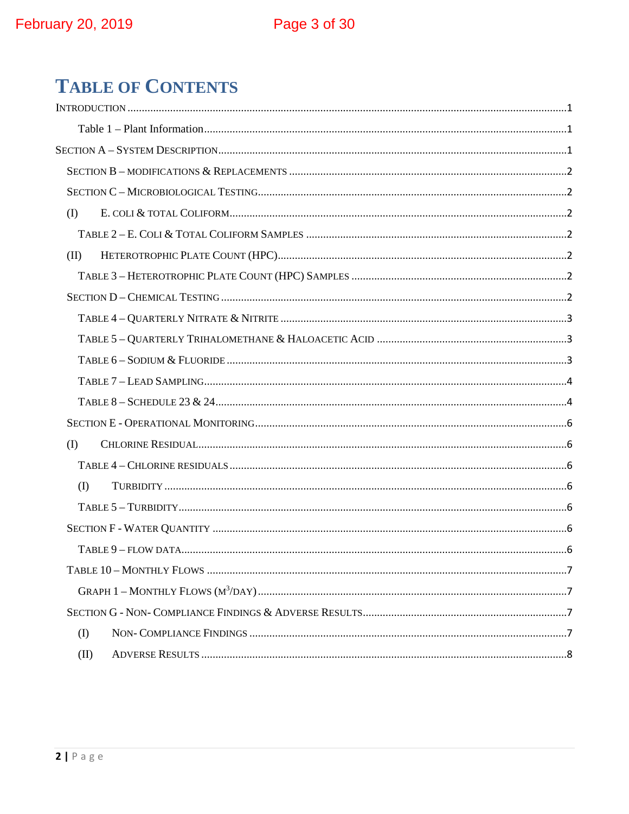## **TABLE OF CONTENTS**

| (I)               |  |
|-------------------|--|
|                   |  |
| (II)              |  |
|                   |  |
|                   |  |
|                   |  |
|                   |  |
|                   |  |
|                   |  |
|                   |  |
|                   |  |
| $\textcircled{1}$ |  |
|                   |  |
| $($ $\Gamma$      |  |
|                   |  |
|                   |  |
|                   |  |
|                   |  |
|                   |  |
|                   |  |
| (I)               |  |
| (II)              |  |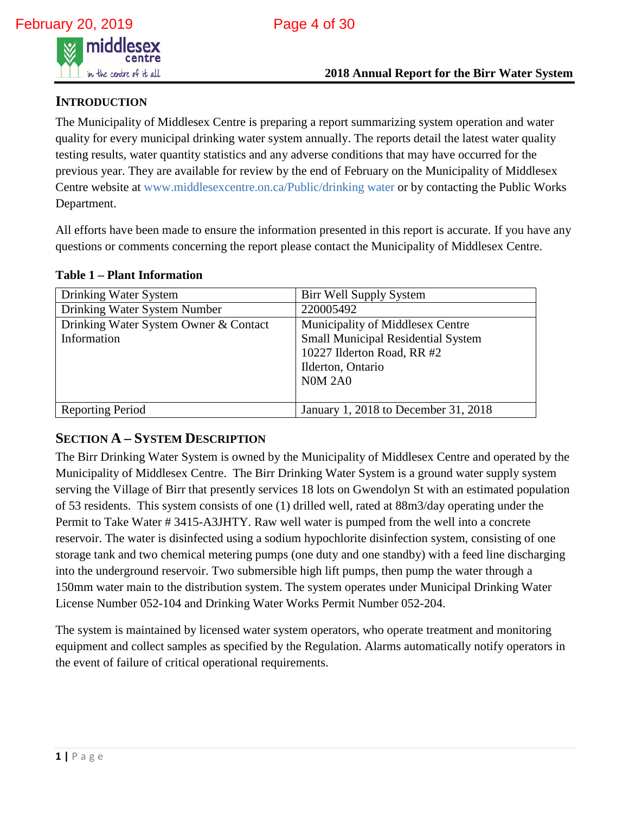

#### <span id="page-3-0"></span>**INTRODUCTION**

The Municipality of Middlesex Centre is preparing a report summarizing system operation and water quality for every municipal drinking water system annually. The reports detail the latest water quality testing results, water quantity statistics and any adverse conditions that may have occurred for the previous year. They are available for review by the end of February on the Municipality of Middlesex Centre website at www.middlesexcentre.on.ca/Public/drinking water or by contacting the Public Works Department.

All efforts have been made to ensure the information presented in this report is accurate. If you have any questions or comments concerning the report please contact the Municipality of Middlesex Centre.

<span id="page-3-1"></span>

|  | <b>Table 1 – Plant Information</b> |
|--|------------------------------------|
|--|------------------------------------|

| Drinking Water System                 | Birr Well Supply System                   |
|---------------------------------------|-------------------------------------------|
| Drinking Water System Number          | 220005492                                 |
| Drinking Water System Owner & Contact | Municipality of Middlesex Centre          |
| Information                           | <b>Small Municipal Residential System</b> |
|                                       | 10227 Ilderton Road, RR #2                |
|                                       | Ilderton, Ontario                         |
|                                       | <b>N0M 2A0</b>                            |
|                                       |                                           |
| <b>Reporting Period</b>               | January 1, 2018 to December 31, 2018      |

#### <span id="page-3-2"></span>**SECTION A – SYSTEM DESCRIPTION**

The Birr Drinking Water System is owned by the Municipality of Middlesex Centre and operated by the Municipality of Middlesex Centre. The Birr Drinking Water System is a ground water supply system serving the Village of Birr that presently services 18 lots on Gwendolyn St with an estimated population of 53 residents. This system consists of one (1) drilled well, rated at 88m3/day operating under the Permit to Take Water # 3415-A3JHTY. Raw well water is pumped from the well into a concrete reservoir. The water is disinfected using a sodium hypochlorite disinfection system, consisting of one storage tank and two chemical metering pumps (one duty and one standby) with a feed line discharging into the underground reservoir. Two submersible high lift pumps, then pump the water through a 150mm water main to the distribution system. The system operates under Municipal Drinking Water License Number 052-104 and Drinking Water Works Permit Number 052-204.

The system is maintained by licensed water system operators, who operate treatment and monitoring equipment and collect samples as specified by the Regulation. Alarms automatically notify operators in the event of failure of critical operational requirements.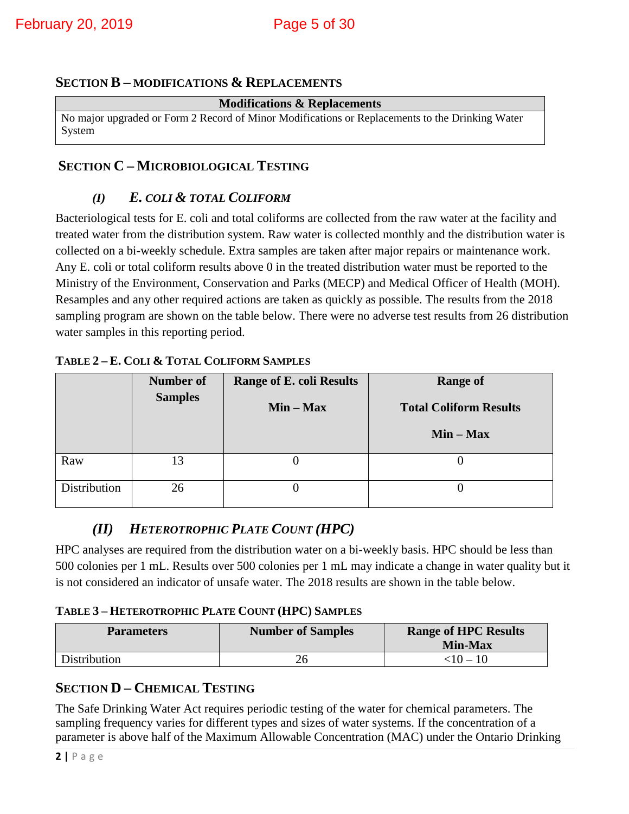#### <span id="page-4-0"></span>**SECTION B – MODIFICATIONS & REPLACEMENTS**

#### **Modifications & Replacements**

No major upgraded or Form 2 Record of Minor Modifications or Replacements to the Drinking Water System

#### <span id="page-4-2"></span><span id="page-4-1"></span>**SECTION C – MICROBIOLOGICAL TESTING**

#### *(I) E. COLI & TOTAL COLIFORM*

Bacteriological tests for E. coli and total coliforms are collected from the raw water at the facility and treated water from the distribution system. Raw water is collected monthly and the distribution water is collected on a bi-weekly schedule. Extra samples are taken after major repairs or maintenance work. Any E. coli or total coliform results above 0 in the treated distribution water must be reported to the Ministry of the Environment, Conservation and Parks (MECP) and Medical Officer of Health (MOH). Resamples and any other required actions are taken as quickly as possible. The results from the 2018 sampling program are shown on the table below. There were no adverse test results from 26 distribution water samples in this reporting period.

|              | <b>Number of</b><br><b>Range of E. coli Results</b><br><b>Samples</b><br>$Min - Max$ |  | <b>Range of</b><br><b>Total Coliform Results</b> |
|--------------|--------------------------------------------------------------------------------------|--|--------------------------------------------------|
|              |                                                                                      |  | $Min - Max$                                      |
| Raw          | 13                                                                                   |  |                                                  |
| Distribution | 26                                                                                   |  |                                                  |

#### <span id="page-4-3"></span>**TABLE 2 – E. COLI & TOTAL COLIFORM SAMPLES**

#### *(II) HETEROTROPHIC PLATE COUNT (HPC)*

<span id="page-4-4"></span>HPC analyses are required from the distribution water on a bi-weekly basis. HPC should be less than 500 colonies per 1 mL. Results over 500 colonies per 1 mL may indicate a change in water quality but it is not considered an indicator of unsafe water. The 2018 results are shown in the table below.

#### <span id="page-4-5"></span>**TABLE 3 – HETEROTROPHIC PLATE COUNT (HPC) SAMPLES**

| <b>Parameters</b> | <b>Number of Samples</b> | <b>Range of HPC Results</b><br><b>Min-Max</b> |
|-------------------|--------------------------|-----------------------------------------------|
| Distribution      |                          | ${10 - 10}$                                   |

#### <span id="page-4-6"></span>**SECTION D – CHEMICAL TESTING**

The Safe Drinking Water Act requires periodic testing of the water for chemical parameters. The sampling frequency varies for different types and sizes of water systems. If the concentration of a parameter is above half of the Maximum Allowable Concentration (MAC) under the Ontario Drinking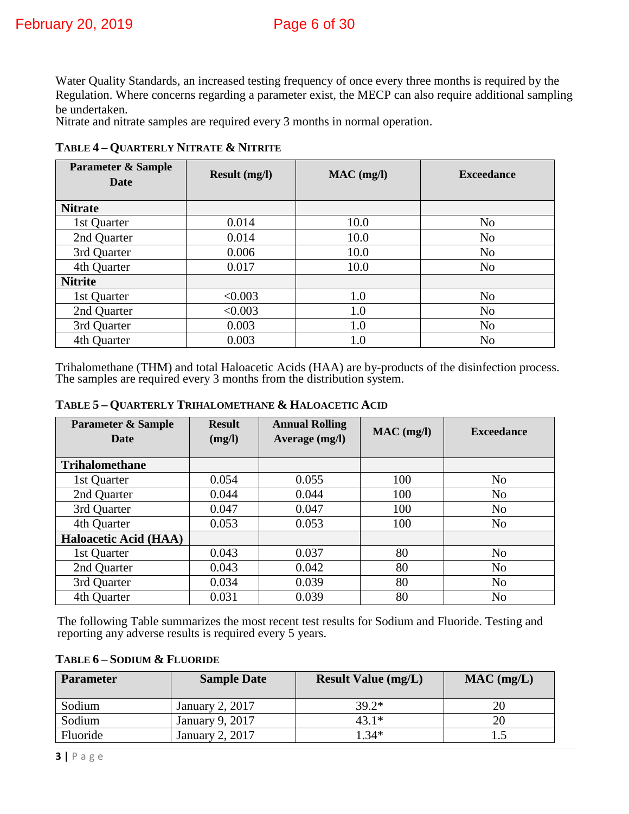Water Quality Standards, an increased testing frequency of once every three months is required by the Regulation. Where concerns regarding a parameter exist, the MECP can also require additional sampling be undertaken.

Nitrate and nitrate samples are required every 3 months in normal operation.

| <b>Parameter &amp; Sample</b><br>Date | <b>Result (mg/l)</b> | $MAC$ (mg/l) | <b>Exceedance</b> |
|---------------------------------------|----------------------|--------------|-------------------|
| <b>Nitrate</b>                        |                      |              |                   |
| 1st Quarter                           | 0.014                | 10.0         | N <sub>o</sub>    |
| 2nd Quarter                           | 0.014                | 10.0         | N <sub>o</sub>    |
| 3rd Quarter                           | 0.006                | 10.0         | N <sub>o</sub>    |
| 4th Quarter                           | 0.017                | 10.0         | N <sub>o</sub>    |
| <b>Nitrite</b>                        |                      |              |                   |
| 1st Quarter                           | < 0.003              | 1.0          | N <sub>o</sub>    |
| 2nd Quarter                           | < 0.003              | 1.0          | N <sub>o</sub>    |
| 3rd Quarter                           | 0.003                | 1.0          | N <sub>o</sub>    |
| 4th Quarter                           | 0.003                | 1.0          | N <sub>o</sub>    |

<span id="page-5-0"></span>**TABLE 4 – QUARTERLY NITRATE & NITRITE** 

Trihalomethane (THM) and total Haloacetic Acids (HAA) are by-products of the disinfection process. The samples are required every 3 months from the distribution system.

| <b>Parameter &amp; Sample</b><br><b>Date</b> | <b>Result</b><br>(mg/l) | <b>Annual Rolling</b><br>Average (mg/l) | $MAC$ (mg/l) | <b>Exceedance</b> |
|----------------------------------------------|-------------------------|-----------------------------------------|--------------|-------------------|
| <b>Trihalomethane</b>                        |                         |                                         |              |                   |
| 1st Quarter                                  | 0.054                   | 0.055                                   | 100          | N <sub>0</sub>    |
| 2nd Quarter                                  | 0.044                   | 0.044                                   | 100          | N <sub>o</sub>    |
| 3rd Quarter                                  | 0.047                   | 0.047                                   | 100          | N <sub>o</sub>    |
| 4th Quarter                                  | 0.053                   | 0.053                                   | 100          | N <sub>o</sub>    |
| <b>Haloacetic Acid (HAA)</b>                 |                         |                                         |              |                   |
| 1st Quarter                                  | 0.043                   | 0.037                                   | 80           | N <sub>o</sub>    |
| 2nd Quarter                                  | 0.043                   | 0.042                                   | 80           | N <sub>o</sub>    |
| 3rd Quarter                                  | 0.034                   | 0.039                                   | 80           | N <sub>o</sub>    |
| 4th Quarter                                  | 0.031                   | 0.039                                   | 80           | N <sub>o</sub>    |

#### <span id="page-5-1"></span>**TABLE 5 – QUARTERLY TRIHALOMETHANE & HALOACETIC ACID**

The following Table summarizes the most recent test results for Sodium and Fluoride. Testing and reporting any adverse results is required every 5 years.

<span id="page-5-2"></span>

| TABLE 6 - SODIUM & FLUORIDE |  |
|-----------------------------|--|
|                             |  |

| <b>Parameter</b> | <b>Sample Date</b> | <b>Result Value (mg/L)</b> | $MAC$ (mg/L) |
|------------------|--------------------|----------------------------|--------------|
| Sodium           | January 2, 2017    | $39.2*$                    | 20           |
| Sodium           | January 9, 2017    | 43.1*                      |              |
| Fluoride         | January 2, 2017    | $0.34*$                    |              |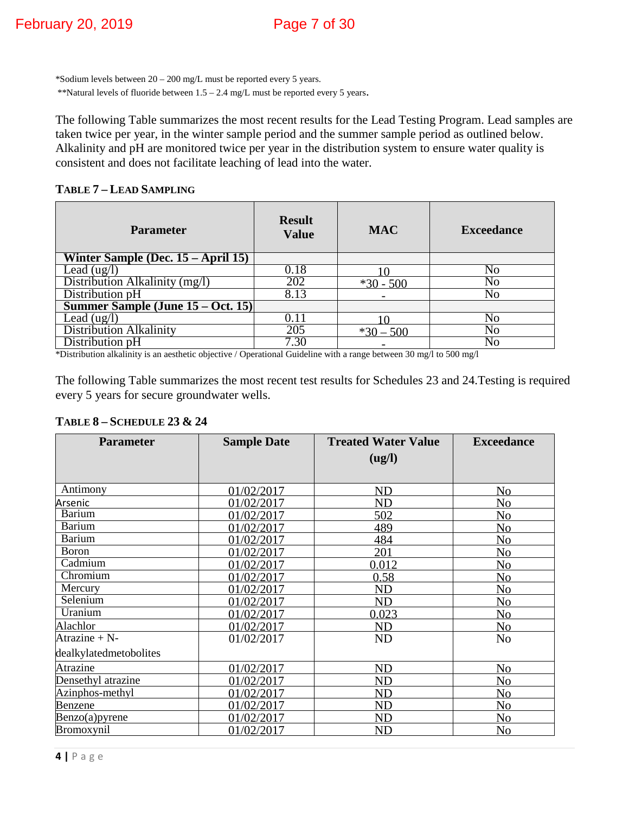\*Sodium levels between 20 – 200 mg/L must be reported every 5 years. \*\*Natural levels of fluoride between 1.5 – 2.4 mg/L must be reported every 5 years.

The following Table summarizes the most recent results for the Lead Testing Program. Lead samples are taken twice per year, in the winter sample period and the summer sample period as outlined below. Alkalinity and pH are monitored twice per year in the distribution system to ensure water quality is consistent and does not facilitate leaching of lead into the water.

<span id="page-6-0"></span>**TABLE 7 – LEAD SAMPLING** 

| <b>Parameter</b>                   | <b>Result</b><br><b>Value</b> | <b>MAC</b>  | <b>Exceedance</b> |
|------------------------------------|-------------------------------|-------------|-------------------|
| Winter Sample (Dec. 15 – April 15) |                               |             |                   |
| Lead $(ug/l)$                      | 0.18                          |             | No                |
| Distribution Alkalinity (mg/l)     | 202                           | $*30 - 500$ | No                |
| Distribution pH                    | 8.13                          |             | No                |
| Summer Sample (June 15 – Oct. 15)  |                               |             |                   |
| Lead $(ug/l)$                      | 0.11                          |             | No                |
| <b>Distribution Alkalinity</b>     | 205                           | $*30 - 500$ | No                |
| Distribution pH                    | 7.30                          |             | No                |

\*Distribution alkalinity is an aesthetic objective / Operational Guideline with a range between 30 mg/l to 500 mg/l

The following Table summarizes the most recent test results for Schedules 23 and 24.Testing is required every 5 years for secure groundwater wells.

#### <span id="page-6-1"></span>**TABLE 8 – SCHEDULE 23 & 24**

| <b>Parameter</b>            | <b>Sample Date</b> | <b>Treated Water Value</b> | <b>Exceedance</b> |
|-----------------------------|--------------------|----------------------------|-------------------|
|                             |                    | (ug/l)                     |                   |
|                             |                    |                            |                   |
| Antimony                    | 01/02/2017         | ND                         | N <sub>0</sub>    |
| <u>Arsenic</u>              | 01/02/2017         | $\mathop{\rm ND}\nolimits$ | N <sub>o</sub>    |
| <b>Barium</b>               | 01/02/2017         | 502                        | No                |
| <b>Barium</b>               | 01/02/2017         | 489                        | N <sub>0</sub>    |
| <b>Barium</b>               | 01/02/2017         | 484                        | N <sub>o</sub>    |
| <b>Boron</b>                | 01/02/2017         | 201                        | N <sub>o</sub>    |
| $\overline{\text{Cadmium}}$ | 01/02/2017         | 0.012                      | N <sub>o</sub>    |
| Chromium                    | 01/02/2017         | 0.58                       | N <sub>o</sub>    |
| Mercury                     | 01/02/2017         | ND                         | N <sub>o</sub>    |
| Selenium                    | 01/02/2017         | <b>ND</b>                  | N <sub>o</sub>    |
| Uranium                     | 01/02/2017         | 0.023                      | N <sub>o</sub>    |
| Alachlor                    | 01/02/2017         | <b>ND</b>                  | N <sub>o</sub>    |
| Atrazine + N-               | 01/02/2017         | <b>ND</b>                  | N <sub>o</sub>    |
| dealkylatedmetobolites      |                    |                            |                   |
| Atrazine                    | 01/02/2017         | <b>ND</b>                  | N <sub>o</sub>    |
| Densethyl atrazine          | 01/02/2017         | $\mathop{\rm ND}\nolimits$ | No                |
| Azinphos-methyl             | 01/02/2017         | ND                         | N <sub>o</sub>    |
| Benzene                     | 01/02/2017         | $\mathop{\rm ND}\nolimits$ | N <sub>o</sub>    |
| Benzo(a)pyrene              | 01/02/2017         | <b>ND</b>                  | N <sub>o</sub>    |
| Bromoxynil                  | 01/02/2017         | $\mathop{\rm ND}\nolimits$ | N <sub>0</sub>    |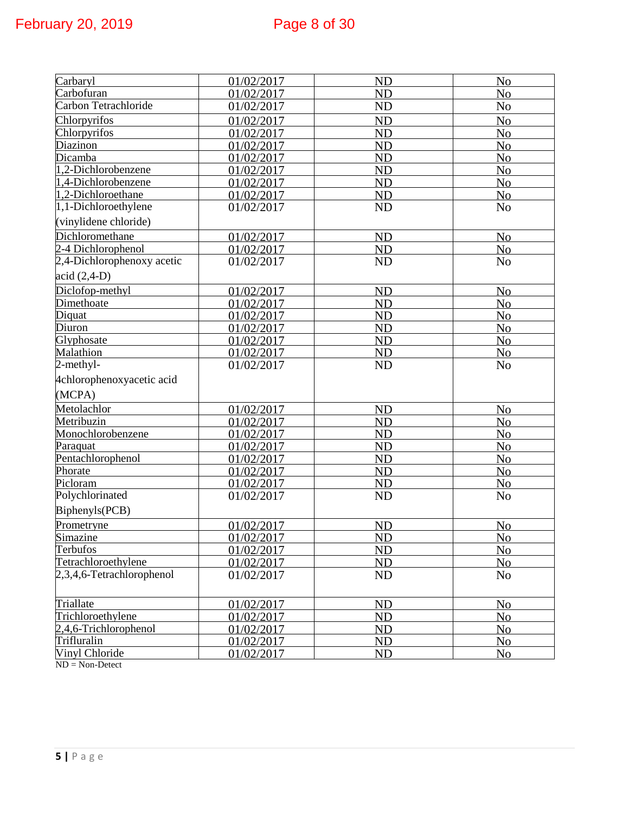| Carbaryl                   | 01/02/2017 | <b>ND</b>      | $N_{0}$        |
|----------------------------|------------|----------------|----------------|
| Carbofuran                 | 01/02/2017 | <b>ND</b>      | No             |
| Carbon Tetrachloride       | 01/02/2017 | <b>ND</b>      | N <sub>o</sub> |
| Chlorpyrifos               | 01/02/2017 | <b>ND</b>      | N <sub>o</sub> |
| Chlorpyrifos               | 01/02/2017 | <b>ND</b>      | N <sub>o</sub> |
| Diazinon                   | 01/02/2017 | <b>ND</b>      | N <sub>o</sub> |
| Dicamba                    | 01/02/2017 | <b>ND</b>      | N <sub>o</sub> |
| 1,2-Dichlorobenzene        | 01/02/2017 | <b>ND</b>      | N <sub>o</sub> |
| 1,4-Dichlorobenzene        | 01/02/2017 | <b>ND</b>      | N <sub>o</sub> |
| 1,2-Dichloroethane         | 01/02/2017 | ND             | N <sub>o</sub> |
| 1,1-Dichloroethylene       | 01/02/2017 | <b>ND</b>      | N <sub>o</sub> |
| (vinylidene chloride)      |            |                |                |
| Dichloromethane            | 01/02/2017 | ND             | N <sub>o</sub> |
| 2-4 Dichlorophenol         | 01/02/2017 | <b>ND</b>      | N <sub>o</sub> |
| 2,4-Dichlorophenoxy acetic | 01/02/2017 | <b>ND</b>      | N <sub>o</sub> |
| $acid (2,4-D)$             |            |                |                |
| Diclofop-methyl            | 01/02/2017 | <b>ND</b>      | N <sub>o</sub> |
| Dimethoate                 | 01/02/2017 | <b>ND</b>      | No             |
| Diquat                     | 01/02/2017 | <b>ND</b>      | N <sub>o</sub> |
| Diuron                     | 01/02/2017 | <b>ND</b>      | No             |
| Glyphosate                 | 01/02/2017 | <b>ND</b>      | N <sub>o</sub> |
| Malathion                  | 01/02/2017 | <b>ND</b>      | N <sub>o</sub> |
| $2$ -methyl-               | 01/02/2017 | <b>ND</b>      | N <sub>o</sub> |
| 4chlorophenoxyacetic acid  |            |                |                |
| (MCPA)                     |            |                |                |
| Metolachlor                | 01/02/2017 | ND             | N <sub>o</sub> |
| Metribuzin                 | 01/02/2017 | <b>ND</b>      | N <sub>o</sub> |
| Monochlorobenzene          | 01/02/2017 | <b>ND</b>      | N <sub>o</sub> |
| Paraquat                   | 01/02/2017 | <b>ND</b>      | N <sub>o</sub> |
| Pentachlorophenol          | 01/02/2017 | <b>ND</b>      | N <sub>o</sub> |
| Phorate                    | 01/02/2017 | <b>ND</b>      | N <sub>o</sub> |
| Picloram                   | 01/02/2017 | ND             | N <sub>o</sub> |
| Polychlorinated            | 01/02/2017 | <b>ND</b>      | N <sub>o</sub> |
| Biphenyls(PCB)             |            |                |                |
| Prometryne                 | 01/02/2017 | <b>ND</b>      | N <sub>o</sub> |
| Simazine                   | 01/02/2017 | ND.            | N <sub>0</sub> |
| Terbufos                   | 01/02/2017 | <b>ND</b>      | N <sub>o</sub> |
| Tetrachloroethylene        | 01/02/2017 | ND             | No             |
| 2,3,4,6-Tetrachlorophenol  | 01/02/2017 | ND             | N <sub>0</sub> |
| Triallate                  | 01/02/2017 | ND             | N <sub>o</sub> |
| Trichloroethylene          | 01/02/2017 | <b>ND</b>      | N <sub>o</sub> |
| 2,4,6-Trichlorophenol      | 01/02/2017 | N <sub>D</sub> | N <sub>o</sub> |
| Trifluralin                | 01/02/2017 | <b>ND</b>      | N <sub>o</sub> |
| Vinyl Chloride             | 01/02/2017 | N <sub>D</sub> | No             |

ND = Non-Detect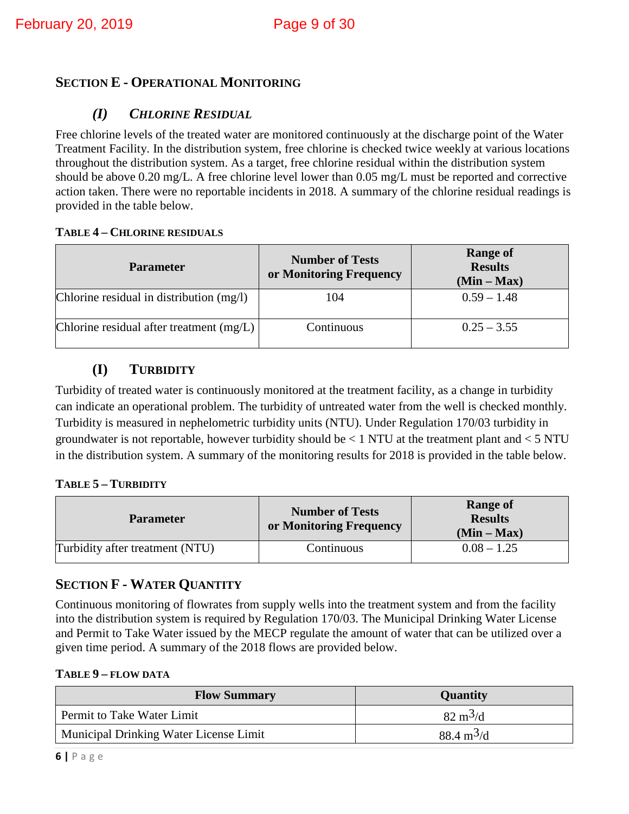#### <span id="page-8-1"></span><span id="page-8-0"></span>**SECTION E - OPERATIONAL MONITORING**

#### *(I) CHLORINE RESIDUAL*

Free chlorine levels of the treated water are monitored continuously at the discharge point of the Water Treatment Facility. In the distribution system, free chlorine is checked twice weekly at various locations throughout the distribution system. As a target, free chlorine residual within the distribution system should be above 0.20 mg/L. A free chlorine level lower than 0.05 mg/L must be reported and corrective action taken. There were no reportable incidents in 2018. A summary of the chlorine residual readings is provided in the table below.

#### <span id="page-8-2"></span>**TABLE 4 – CHLORINE RESIDUALS**

| <b>Parameter</b>                           | <b>Number of Tests</b><br>or Monitoring Frequency | <b>Range of</b><br><b>Results</b><br>$(Min - Max)$ |
|--------------------------------------------|---------------------------------------------------|----------------------------------------------------|
| Chlorine residual in distribution $(mg/l)$ | 104                                               | $0.59 - 1.48$                                      |
| Chlorine residual after treatment $(mg/L)$ | Continuous                                        | $0.25 - 3.55$                                      |

#### **(I) TURBIDITY**

<span id="page-8-3"></span>Turbidity of treated water is continuously monitored at the treatment facility, as a change in turbidity can indicate an operational problem. The turbidity of untreated water from the well is checked monthly. Turbidity is measured in nephelometric turbidity units (NTU). Under Regulation 170/03 turbidity in groundwater is not reportable, however turbidity should be  $< 1$  NTU at the treatment plant and  $< 5$  NTU in the distribution system. A summary of the monitoring results for 2018 is provided in the table below.

#### <span id="page-8-4"></span>**TABLE 5 – TURBIDITY**

| <b>Parameter</b>                | <b>Number of Tests</b><br>or Monitoring Frequency | <b>Range of</b><br><b>Results</b><br>$(Min - Max)$ |  |
|---------------------------------|---------------------------------------------------|----------------------------------------------------|--|
| Turbidity after treatment (NTU) | Continuous                                        | $0.08 - 1.25$                                      |  |

#### <span id="page-8-5"></span>**SECTION F - WATER QUANTITY**

Continuous monitoring of flowrates from supply wells into the treatment system and from the facility into the distribution system is required by Regulation 170/03. The Municipal Drinking Water License and Permit to Take Water issued by the MECP regulate the amount of water that can be utilized over a given time period. A summary of the 2018 flows are provided below.

#### <span id="page-8-6"></span>**TABLE 9 – FLOW DATA**

| <b>Flow Summary</b>                           | <b>Quantity</b>             |
|-----------------------------------------------|-----------------------------|
| Permit to Take Water Limit                    | $82 \text{ m}^3/\text{d}$   |
| <b>Municipal Drinking Water License Limit</b> | $88.4 \text{ m}^3/\text{d}$ |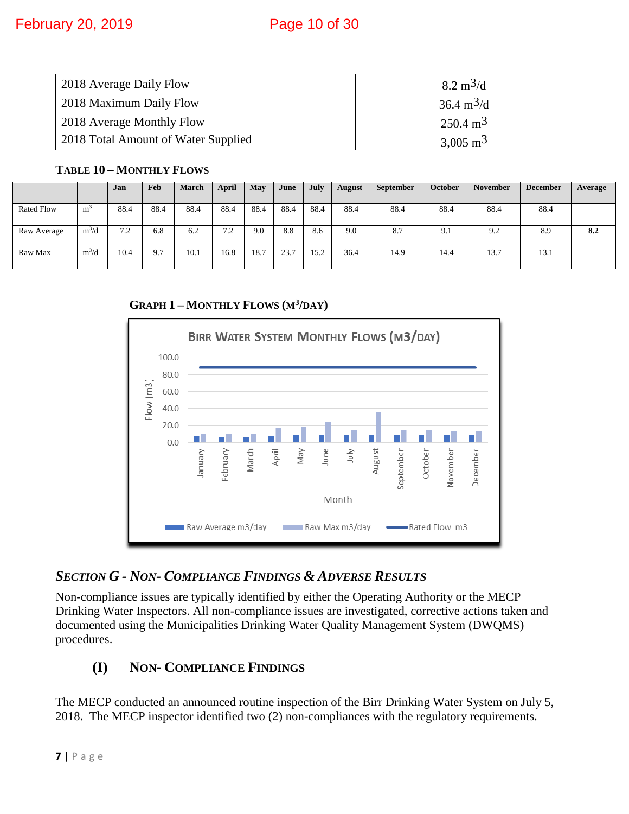| 2018 Average Daily Flow             | $8.2 \text{ m}^3/\text{d}$  |
|-------------------------------------|-----------------------------|
| 2018 Maximum Daily Flow             | $36.4 \text{ m}^3/\text{d}$ |
| 2018 Average Monthly Flow           | $250.4 \text{ m}^3$         |
| 2018 Total Amount of Water Supplied | $3,005 \text{ m}^3$         |

#### <span id="page-9-0"></span>**TABLE 10 – MONTHLY FLOWS**

|                   |                | Jan                    | Feb  | <b>March</b> | April    | May  | June | July | <b>August</b> | <b>September</b> | <b>October</b> | <b>November</b> | <b>December</b> | Average |
|-------------------|----------------|------------------------|------|--------------|----------|------|------|------|---------------|------------------|----------------|-----------------|-----------------|---------|
| <b>Rated Flow</b> | m <sup>3</sup> | 88.4                   | 88.4 | 88.4         | 88.4     | 88.4 | 88.4 | 88.4 | 88.4          | 88.4             | 88.4           | 88.4            | 88.4            |         |
| Raw Average       | $m^3/d$        | 7 <sub>2</sub><br>∡. ا | 6.8  | 6.2          | 72<br>ے. | 9.0  | 8.8  | 8.6  | 9.0           | 8.7              | 9.1            | 9.2             | 8.9             | 8.2     |
| Raw Max           | $m^3/d$        | 10.4                   | 9.7  | 10.1         | 16.8     | 18.7 | 23.7 | 15.2 | 36.4          | 14.9             | 14.4           | 13.7            | 13.1            |         |

**GRAPH 1 – MONTHLY FLOWS (M3/DAY)**

<span id="page-9-1"></span>

#### <span id="page-9-2"></span>*SECTION G - NON- COMPLIANCE FINDINGS & ADVERSE RESULTS*

Non-compliance issues are typically identified by either the Operating Authority or the MECP Drinking Water Inspectors. All non-compliance issues are investigated, corrective actions taken and documented using the Municipalities Drinking Water Quality Management System (DWQMS) procedures.

#### <span id="page-9-3"></span>**(I) NON- COMPLIANCE FINDINGS**

The MECP conducted an announced routine inspection of the Birr Drinking Water System on July 5, 2018. The MECP inspector identified two (2) non-compliances with the regulatory requirements.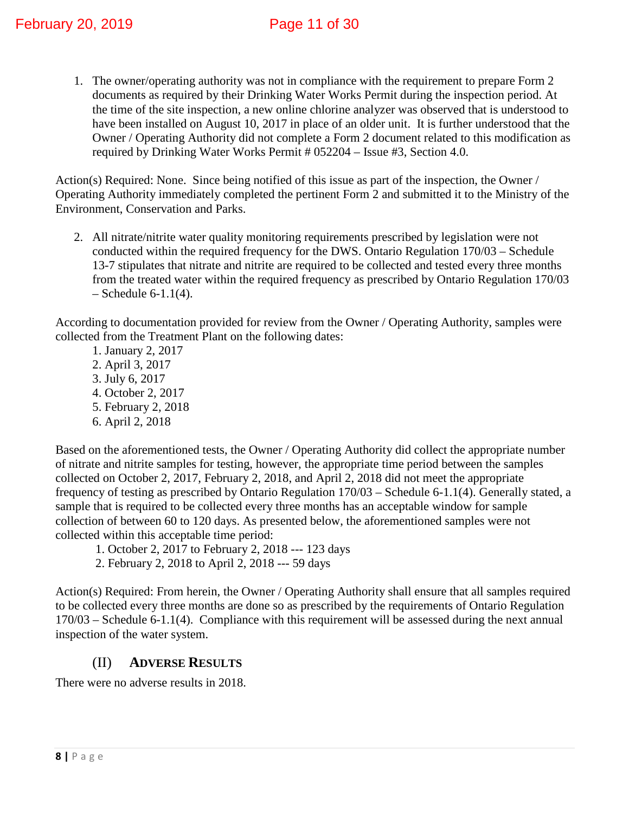1. The owner/operating authority was not in compliance with the requirement to prepare Form 2 documents as required by their Drinking Water Works Permit during the inspection period. At the time of the site inspection, a new online chlorine analyzer was observed that is understood to have been installed on August 10, 2017 in place of an older unit. It is further understood that the Owner / Operating Authority did not complete a Form 2 document related to this modification as required by Drinking Water Works Permit # 052204 – Issue #3, Section 4.0.

Action(s) Required: None. Since being notified of this issue as part of the inspection, the Owner / Operating Authority immediately completed the pertinent Form 2 and submitted it to the Ministry of the Environment, Conservation and Parks.

2. All nitrate/nitrite water quality monitoring requirements prescribed by legislation were not conducted within the required frequency for the DWS. Ontario Regulation 170/03 – Schedule 13-7 stipulates that nitrate and nitrite are required to be collected and tested every three months from the treated water within the required frequency as prescribed by Ontario Regulation 170/03  $-$  Schedule 6-1.1(4).

According to documentation provided for review from the Owner / Operating Authority, samples were collected from the Treatment Plant on the following dates:

 1. January 2, 2017 2. April 3, 2017 3. July 6, 2017 4. October 2, 2017 5. February 2, 2018 6. April 2, 2018

Based on the aforementioned tests, the Owner / Operating Authority did collect the appropriate number of nitrate and nitrite samples for testing, however, the appropriate time period between the samples collected on October 2, 2017, February 2, 2018, and April 2, 2018 did not meet the appropriate frequency of testing as prescribed by Ontario Regulation 170/03 – Schedule 6-1.1(4). Generally stated, a sample that is required to be collected every three months has an acceptable window for sample collection of between 60 to 120 days. As presented below, the aforementioned samples were not collected within this acceptable time period:

- 1. October 2, 2017 to February 2, 2018 --- 123 days
- 2. February 2, 2018 to April 2, 2018 --- 59 days

Action(s) Required: From herein, the Owner / Operating Authority shall ensure that all samples required to be collected every three months are done so as prescribed by the requirements of Ontario Regulation 170/03 – Schedule 6-1.1(4). Compliance with this requirement will be assessed during the next annual inspection of the water system.

#### (II) **ADVERSE RESULTS**

<span id="page-10-0"></span>There were no adverse results in 2018.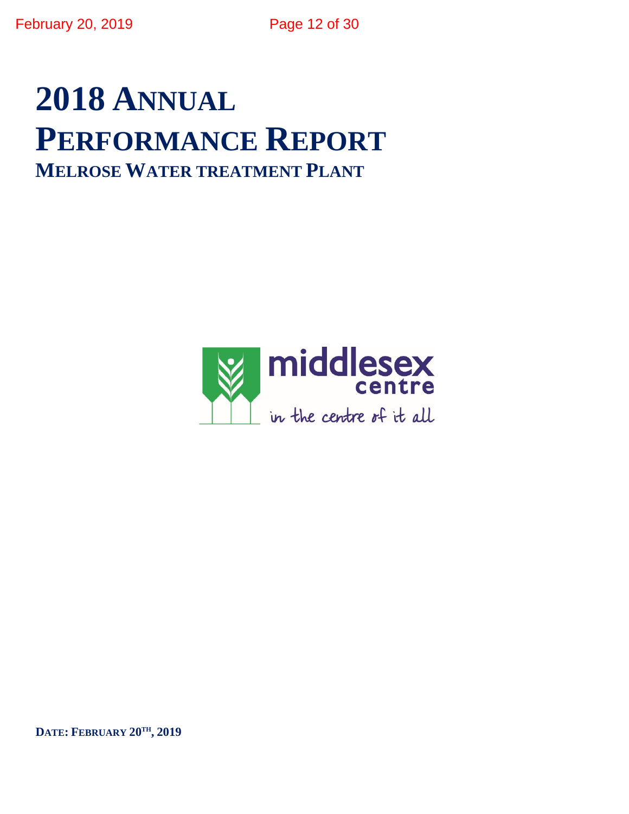# **2018 ANNUAL PERFORMANCE REPORT MELROSE WATER TREATMENT PLANT**



**DATE: FEBRUARY 20TH, 2019**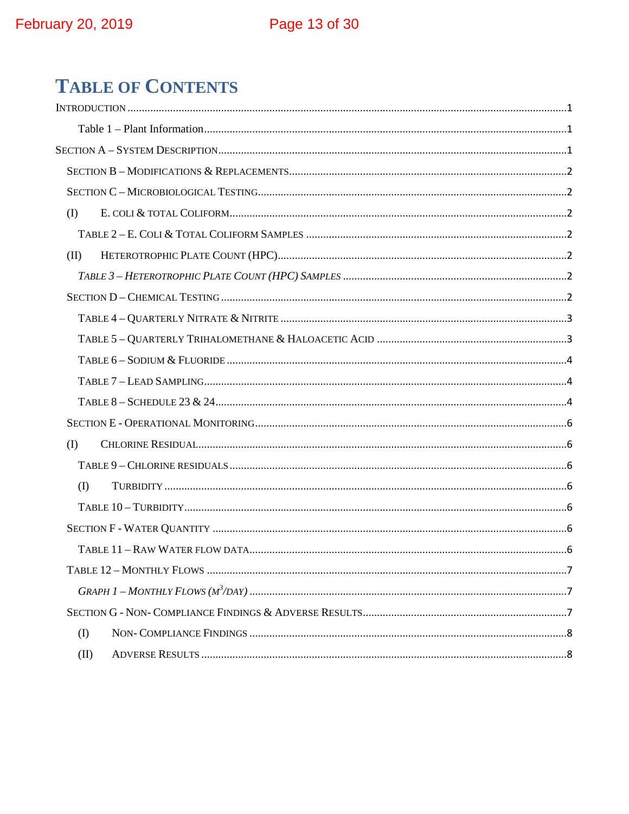## **TABLE OF CONTENTS**

| $($ $\Gamma$      |
|-------------------|
|                   |
| (II)              |
|                   |
|                   |
|                   |
|                   |
|                   |
|                   |
|                   |
|                   |
| $\textcircled{1}$ |
|                   |
| (I)               |
|                   |
|                   |
|                   |
|                   |
|                   |
|                   |
| $($ $\Gamma$      |
| (II)              |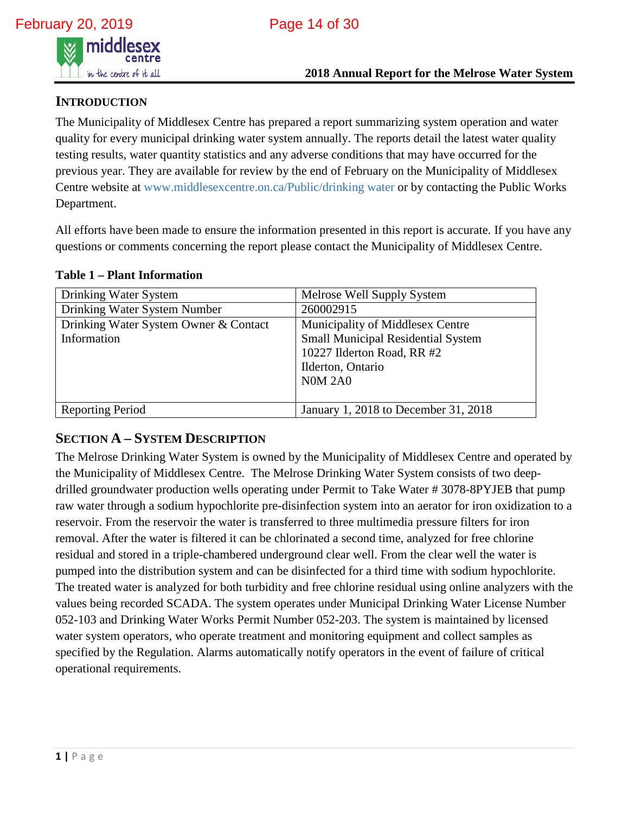

#### <span id="page-13-0"></span>**INTRODUCTION**

The Municipality of Middlesex Centre has prepared a report summarizing system operation and water quality for every municipal drinking water system annually. The reports detail the latest water quality testing results, water quantity statistics and any adverse conditions that may have occurred for the previous year. They are available for review by the end of February on the Municipality of Middlesex Centre website at www.middlesexcentre.on.ca/Public/drinking water or by contacting the Public Works Department.

All efforts have been made to ensure the information presented in this report is accurate. If you have any questions or comments concerning the report please contact the Municipality of Middlesex Centre.

<span id="page-13-1"></span>

|  |  | <b>Table 1 – Plant Information</b> |  |
|--|--|------------------------------------|--|
|  |  |                                    |  |

| Drinking Water System                 | Melrose Well Supply System                |
|---------------------------------------|-------------------------------------------|
| Drinking Water System Number          | 260002915                                 |
| Drinking Water System Owner & Contact | Municipality of Middlesex Centre          |
| Information                           | <b>Small Municipal Residential System</b> |
|                                       | 10227 Ilderton Road, RR #2                |
|                                       | Ilderton, Ontario                         |
|                                       | <b>N0M 2A0</b>                            |
|                                       |                                           |
| <b>Reporting Period</b>               | January 1, 2018 to December 31, 2018      |

#### <span id="page-13-2"></span>**SECTION A – SYSTEM DESCRIPTION**

The Melrose Drinking Water System is owned by the Municipality of Middlesex Centre and operated by the Municipality of Middlesex Centre. The Melrose Drinking Water System consists of two deepdrilled groundwater production wells operating under Permit to Take Water # 3078-8PYJEB that pump raw water through a sodium hypochlorite pre-disinfection system into an aerator for iron oxidization to a reservoir. From the reservoir the water is transferred to three multimedia pressure filters for iron removal. After the water is filtered it can be chlorinated a second time, analyzed for free chlorine residual and stored in a triple-chambered underground clear well. From the clear well the water is pumped into the distribution system and can be disinfected for a third time with sodium hypochlorite. The treated water is analyzed for both turbidity and free chlorine residual using online analyzers with the values being recorded SCADA. The system operates under Municipal Drinking Water License Number 052-103 and Drinking Water Works Permit Number 052-203. The system is maintained by licensed water system operators, who operate treatment and monitoring equipment and collect samples as specified by the Regulation. Alarms automatically notify operators in the event of failure of critical operational requirements.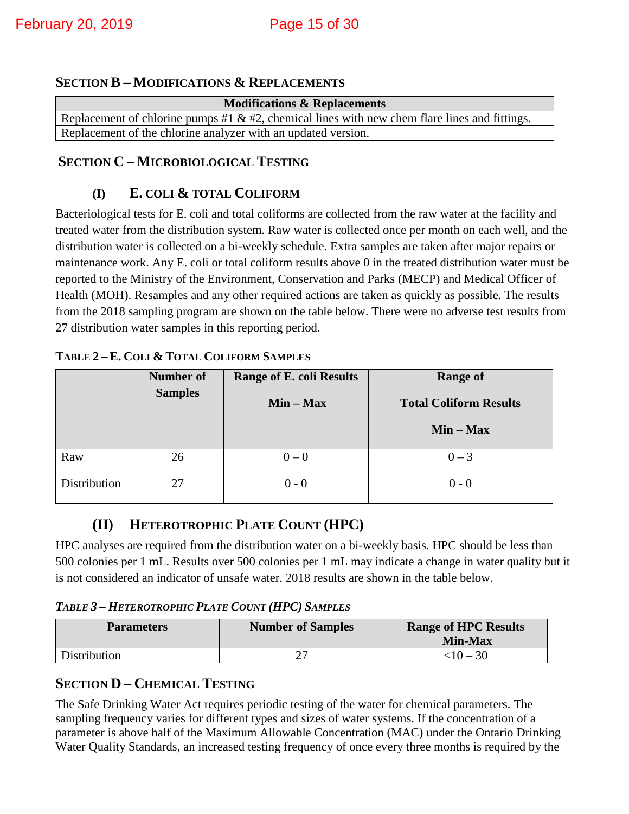#### <span id="page-14-0"></span>**SECTION B – MODIFICATIONS & REPLACEMENTS**

| <b>Modifications &amp; Replacements</b>                                                       |  |  |  |  |
|-----------------------------------------------------------------------------------------------|--|--|--|--|
| Replacement of chlorine pumps #1 & #2, chemical lines with new chem flare lines and fittings. |  |  |  |  |
| Replacement of the chlorine analyzer with an updated version.                                 |  |  |  |  |

#### <span id="page-14-2"></span><span id="page-14-1"></span>**SECTION C – MICROBIOLOGICAL TESTING**

#### **(I) E. COLI & TOTAL COLIFORM**

Bacteriological tests for E. coli and total coliforms are collected from the raw water at the facility and treated water from the distribution system. Raw water is collected once per month on each well, and the distribution water is collected on a bi-weekly schedule. Extra samples are taken after major repairs or maintenance work. Any E. coli or total coliform results above 0 in the treated distribution water must be reported to the Ministry of the Environment, Conservation and Parks (MECP) and Medical Officer of Health (MOH). Resamples and any other required actions are taken as quickly as possible. The results from the 2018 sampling program are shown on the table below. There were no adverse test results from 27 distribution water samples in this reporting period.

|              | <b>Number of</b><br><b>Samples</b> | <b>Range of E. coli Results</b> | <b>Range of</b>               |
|--------------|------------------------------------|---------------------------------|-------------------------------|
|              |                                    | $Min - Max$                     | <b>Total Coliform Results</b> |
|              |                                    |                                 | $Min - Max$                   |
| Raw          | 26                                 | $0-0$                           | $0 - 3$                       |
| Distribution | 27                                 | $0 - 0$                         | $0 - 0$                       |

#### <span id="page-14-3"></span>**TABLE 2 – E. COLI & TOTAL COLIFORM SAMPLES**

#### **(II) HETEROTROPHIC PLATE COUNT (HPC)**

<span id="page-14-4"></span>HPC analyses are required from the distribution water on a bi-weekly basis. HPC should be less than 500 colonies per 1 mL. Results over 500 colonies per 1 mL may indicate a change in water quality but it is not considered an indicator of unsafe water. 2018 results are shown in the table below.

#### <span id="page-14-5"></span>*TABLE 3 – HETEROTROPHIC PLATE COUNT (HPC) SAMPLES*

| <b>Parameters</b> | <b>Number of Samples</b> | <b>Range of HPC Results</b><br><b>Min-Max</b> |
|-------------------|--------------------------|-----------------------------------------------|
| Distribution      |                          | $<$ 10 – 30                                   |

#### <span id="page-14-6"></span>**SECTION D – CHEMICAL TESTING**

The Safe Drinking Water Act requires periodic testing of the water for chemical parameters. The sampling frequency varies for different types and sizes of water systems. If the concentration of a parameter is above half of the Maximum Allowable Concentration (MAC) under the Ontario Drinking Water Quality Standards, an increased testing frequency of once every three months is required by the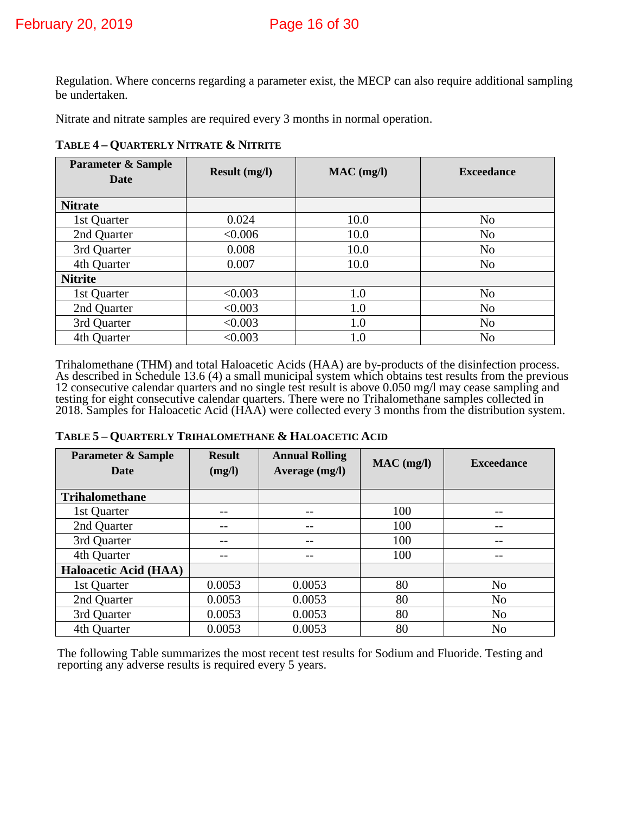Regulation. Where concerns regarding a parameter exist, the MECP can also require additional sampling be undertaken.

<span id="page-15-0"></span>Nitrate and nitrate samples are required every 3 months in normal operation.

**TABLE 4 – QUARTERLY NITRATE & NITRITE** 

| <b>Parameter &amp; Sample</b><br><b>Date</b> | <b>Result (mg/l)</b> | $MAC$ (mg/l) | <b>Exceedance</b> |
|----------------------------------------------|----------------------|--------------|-------------------|
| <b>Nitrate</b>                               |                      |              |                   |
| 1st Quarter                                  | 0.024                | 10.0         | N <sub>o</sub>    |
| 2nd Quarter                                  | < 0.006              | 10.0         | N <sub>o</sub>    |
| 3rd Quarter                                  | 0.008                | 10.0         | N <sub>o</sub>    |
| 4th Quarter                                  | 0.007                | 10.0         | N <sub>o</sub>    |
| <b>Nitrite</b>                               |                      |              |                   |
| 1st Quarter                                  | < 0.003              | 1.0          | N <sub>o</sub>    |
| 2nd Quarter                                  | < 0.003              | 1.0          | N <sub>o</sub>    |
| 3rd Quarter                                  | < 0.003              | 1.0          | N <sub>o</sub>    |
| 4th Quarter                                  | < 0.003              | 1.0          | N <sub>0</sub>    |

Trihalomethane (THM) and total Haloacetic Acids (HAA) are by-products of the disinfection process. As described in Schedule 13.6 (4) a small municipal system which obtains test results from the previous 12 consecutive calendar quarters and no single test result is above 0.050 mg/l may cease sampling and testing for eight consecutive calendar quarters. There were no Trihalomethane samples collected in 2018. Samples for Haloacetic Acid (HAA) were collected every 3 months from the distribution system.

<span id="page-15-1"></span>

| <b>Parameter &amp; Sample</b><br><b>Date</b> | <b>Result</b><br>(mg/l) | <b>Annual Rolling</b><br>Average (mg/l) | $MAC$ (mg/l) | <b>Exceedance</b> |
|----------------------------------------------|-------------------------|-----------------------------------------|--------------|-------------------|
| <b>Trihalomethane</b>                        |                         |                                         |              |                   |
| 1st Quarter                                  |                         |                                         | 100          |                   |
| 2nd Quarter                                  |                         |                                         | 100          |                   |
| 3rd Quarter                                  |                         |                                         | 100          |                   |
| 4th Quarter                                  |                         |                                         | 100          |                   |
| <b>Haloacetic Acid (HAA)</b>                 |                         |                                         |              |                   |
| 1st Quarter                                  | 0.0053                  | 0.0053                                  | 80           | N <sub>o</sub>    |
| 2nd Quarter                                  | 0.0053                  | 0.0053                                  | 80           | N <sub>o</sub>    |
| 3rd Quarter                                  | 0.0053                  | 0.0053                                  | 80           | N <sub>o</sub>    |
| 4th Quarter                                  | 0.0053                  | 0.0053                                  | 80           | N <sub>o</sub>    |

<span id="page-15-2"></span>The following Table summarizes the most recent test results for Sodium and Fluoride. Testing and reporting any adverse results is required every 5 years.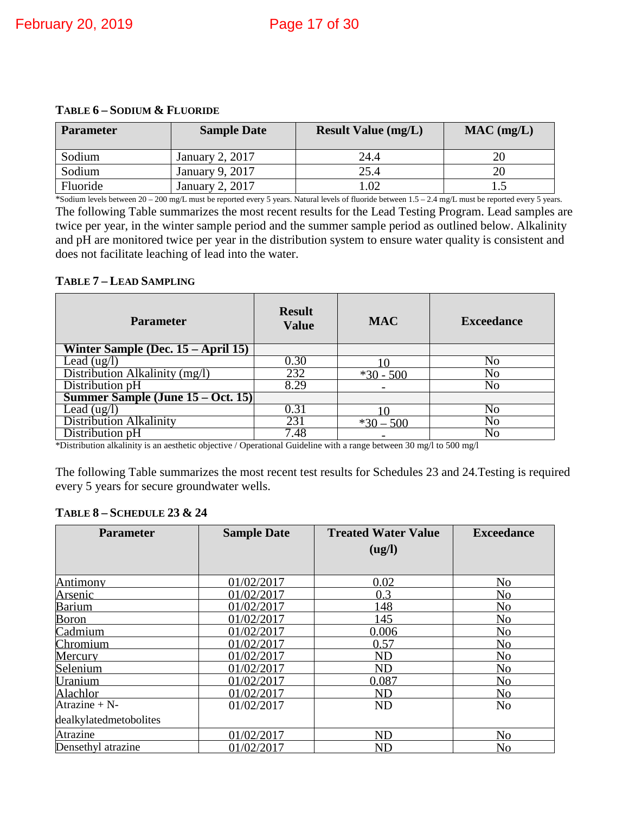| <b>Parameter</b> | <b>Sample Date</b>     | <b>Result Value (mg/L)</b> | $MAC$ (mg/L) |
|------------------|------------------------|----------------------------|--------------|
| Sodium           | January 2, 2017        | 24.4                       |              |
| Sodium           | January 9, 2017        | 25.4                       |              |
| Fluoride         | <b>January 2, 2017</b> | .02                        |              |

\*Sodium levels between 20 – 200 mg/L must be reported every 5 years. Natural levels of fluoride between 1.5 – 2.4 mg/L must be reported every 5 years. The following Table summarizes the most recent results for the Lead Testing Program. Lead samples are twice per year, in the winter sample period and the summer sample period as outlined below. Alkalinity and pH are monitored twice per year in the distribution system to ensure water quality is consistent and does not facilitate leaching of lead into the water.

#### <span id="page-16-0"></span>**TABLE 7 – LEAD SAMPLING**

| <b>Parameter</b>                      | <b>Result</b><br><b>Value</b> | <b>MAC</b>  | <b>Exceedance</b> |
|---------------------------------------|-------------------------------|-------------|-------------------|
| Winter Sample (Dec. $15 - April 15$ ) |                               |             |                   |
| Lead $(ug/l)$                         | 0.30                          |             | No                |
| Distribution Alkalinity (mg/l)        | 232                           | $*30 - 500$ | No                |
| Distribution pH                       | 8.29                          |             | No                |
| Summer Sample (June 15 – Oct. 15)     |                               |             |                   |
| Lead (ug/l)                           | 0.31                          |             | No                |
| <b>Distribution Alkalinity</b>        | 231                           | $*30 - 500$ | No                |
| Distribution pH                       | 7.48                          |             | No                |

\*Distribution alkalinity is an aesthetic objective / Operational Guideline with a range between 30 mg/l to 500 mg/l

The following Table summarizes the most recent test results for Schedules 23 and 24.Testing is required every 5 years for secure groundwater wells.

<span id="page-16-1"></span>

|  | TABLE 8 - SCHEDULE 23 & 24 |  |  |
|--|----------------------------|--|--|
|--|----------------------------|--|--|

| <b>Parameter</b>       | <b>Sample Date</b> | <b>Treated Water Value</b> | <b>Exceedance</b> |
|------------------------|--------------------|----------------------------|-------------------|
|                        |                    | (ug/l)                     |                   |
|                        |                    |                            |                   |
| <b>Antimony</b>        | 01/02/2017         | 0.02                       | N <sub>o</sub>    |
| <u>Arsenic</u>         | 01/02/2017         | 0.3                        | N <sub>o</sub>    |
| <b>Barium</b>          | 01/02/2017         | 148                        | N <sub>0</sub>    |
| <b>Boron</b>           | 01/02/2017         | 145                        | N <sub>0</sub>    |
| Cadmium                | 01/02/2017         | 0.006                      | N <sub>0</sub>    |
| Chromium               | 01/02/2017         | 0.57                       | N <sub>0</sub>    |
| Mercury                | 01/02/2017         | <b>ND</b>                  | N <sub>0</sub>    |
| Selenium               | 01/02/2017         | <b>ND</b>                  | N <sub>0</sub>    |
| Uranium                | 01/02/2017         | 0.087                      | N <sub>0</sub>    |
| Alachlor               | 01/02/2017         | <b>ND</b>                  | N <sub>o</sub>    |
| Atrazine + $N-$        | 01/02/2017         | <b>ND</b>                  | N <sub>o</sub>    |
| dealkylatedmetobolites |                    |                            |                   |
| Atrazine               | 01/02/2017         | <b>ND</b>                  | N <sub>o</sub>    |
| Densethyl atrazine     | 01/02/2017         | <b>ND</b>                  | N <sub>o</sub>    |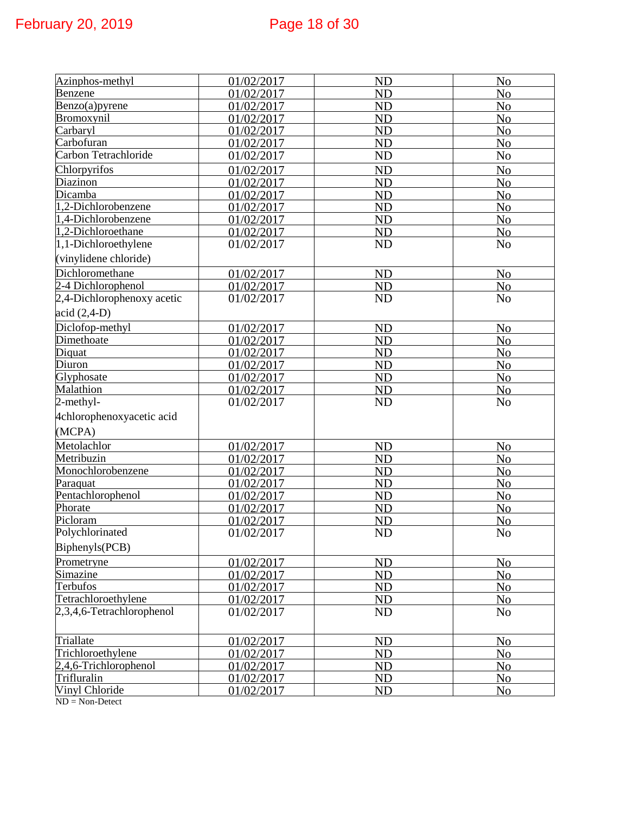| Azinphos-methyl            | 01/02/2017 | <b>ND</b> | N <sub>o</sub> |
|----------------------------|------------|-----------|----------------|
| Benzene                    | 01/02/2017 | ND        | N <sub>o</sub> |
| Benzo(a)pyrene             | 01/02/2017 | <b>ND</b> | N <sub>o</sub> |
| Bromoxynil                 | 01/02/2017 | <b>ND</b> | N <sub>o</sub> |
| Carbaryl                   | 01/02/2017 | <b>ND</b> | N <sub>o</sub> |
| Carbofuran                 | 01/02/2017 | <b>ND</b> | N <sub>o</sub> |
| Carbon Tetrachloride       | 01/02/2017 | ND        | N <sub>o</sub> |
| Chlorpyrifos               | 01/02/2017 | <b>ND</b> | N <sub>o</sub> |
| Diazinon                   | 01/02/2017 | <b>ND</b> | N <sub>o</sub> |
| Dicamba                    | 01/02/2017 | <b>ND</b> | No             |
| 1,2-Dichlorobenzene        | 01/02/2017 | <b>ND</b> | N <sub>o</sub> |
| 1,4-Dichlorobenzene        | 01/02/2017 | <b>ND</b> | N <sub>o</sub> |
| 1,2-Dichloroethane         | 01/02/2017 | <b>ND</b> | N <sub>o</sub> |
| 1,1-Dichloroethylene       | 01/02/2017 | <b>ND</b> | N <sub>o</sub> |
| (vinylidene chloride)      |            |           |                |
| Dichloromethane            | 01/02/2017 | <b>ND</b> | N <sub>o</sub> |
| 2-4 Dichlorophenol         | 01/02/2017 | <b>ND</b> | N <sub>o</sub> |
| 2,4-Dichlorophenoxy acetic | 01/02/2017 | ND        | N <sub>o</sub> |
| $acid (2,4-D)$             |            |           |                |
| Diclofop-methyl            | 01/02/2017 | <b>ND</b> | N <sub>o</sub> |
| Dimethoate                 | 01/02/2017 | <b>ND</b> | N <sub>o</sub> |
| Diquat                     | 01/02/2017 | <b>ND</b> | N <sub>o</sub> |
| Diuron                     | 01/02/2017 | <b>ND</b> | N <sub>o</sub> |
| Glyphosate                 | 01/02/2017 | <b>ND</b> | N <sub>o</sub> |
| Malathion                  | 01/02/2017 | <b>ND</b> | N <sub>o</sub> |
| 2-methyl-                  | 01/02/2017 | <b>ND</b> | N <sub>o</sub> |
| 4chlorophenoxyacetic acid  |            |           |                |
| (MCPA)                     |            |           |                |
| Metolachlor                | 01/02/2017 | <b>ND</b> | N <sub>0</sub> |
| Metribuzin                 | 01/02/2017 | <b>ND</b> | N <sub>o</sub> |
| Monochlorobenzene          | 01/02/2017 | <b>ND</b> | N <sub>o</sub> |
| Paraquat                   | 01/02/2017 | <b>ND</b> | N <sub>o</sub> |
| Pentachlorophenol          | 01/02/2017 | <b>ND</b> | N <sub>o</sub> |
| Phorate                    | 01/02/2017 | <b>ND</b> | N <sub>o</sub> |
| Picloram                   | 01/02/2017 | <b>ND</b> | N <sub>o</sub> |
| Polychlorinated            | 01/02/2017 | ND        | N <sub>o</sub> |
| Biphenyls(PCB)             |            |           |                |
| Prometryne                 | 01/02/2017 | ND        | N <sub>o</sub> |
| Simazine                   | 01/02/2017 | ND        | N <sub>o</sub> |
| Terbufos                   | 01/02/2017 | ND        | N <sub>o</sub> |
| Tetrachloroethylene        | 01/02/2017 | ND        | N <sub>o</sub> |
| 2,3,4,6-Tetrachlorophenol  | 01/02/2017 | ND        | N <sub>o</sub> |
|                            |            |           |                |
| Triallate                  | 01/02/2017 | <b>ND</b> | N <sub>o</sub> |
| Trichloroethylene          | 01/02/2017 | ND        | N <sub>o</sub> |
| 2,4,6-Trichlorophenol      | 01/02/2017 | ND        | N <sub>o</sub> |
| Trifluralin                | 01/02/2017 | ND        | N <sub>o</sub> |
| Vinyl Chloride             | 01/02/2017 | ND        | N <sub>o</sub> |
| $ND = Non-Detect$          |            |           |                |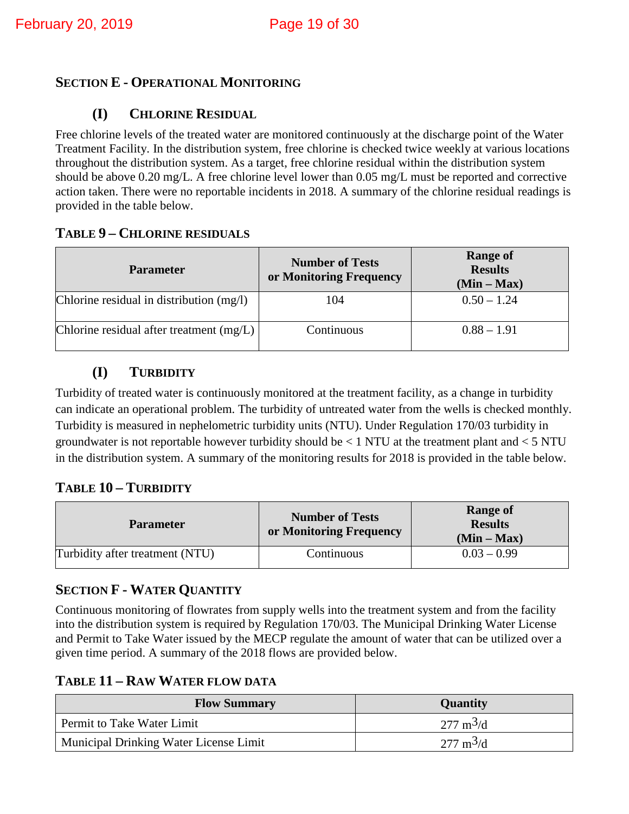#### <span id="page-18-1"></span><span id="page-18-0"></span>**SECTION E - OPERATIONAL MONITORING**

#### **(I) CHLORINE RESIDUAL**

Free chlorine levels of the treated water are monitored continuously at the discharge point of the Water Treatment Facility. In the distribution system, free chlorine is checked twice weekly at various locations throughout the distribution system. As a target, free chlorine residual within the distribution system should be above 0.20 mg/L. A free chlorine level lower than 0.05 mg/L must be reported and corrective action taken. There were no reportable incidents in 2018. A summary of the chlorine residual readings is provided in the table below.

#### <span id="page-18-2"></span>**TABLE 9 – CHLORINE RESIDUALS**

| <b>Parameter</b>                           | <b>Number of Tests</b><br>or Monitoring Frequency | <b>Range of</b><br><b>Results</b><br>$(Min - Max)$ |
|--------------------------------------------|---------------------------------------------------|----------------------------------------------------|
| Chlorine residual in distribution (mg/l)   | 104                                               | $0.50 - 1.24$                                      |
| Chlorine residual after treatment $(mg/L)$ | Continuous                                        | $0.88 - 1.91$                                      |

#### **(I) TURBIDITY**

<span id="page-18-3"></span>Turbidity of treated water is continuously monitored at the treatment facility, as a change in turbidity can indicate an operational problem. The turbidity of untreated water from the wells is checked monthly. Turbidity is measured in nephelometric turbidity units (NTU). Under Regulation 170/03 turbidity in groundwater is not reportable however turbidity should be  $\leq 1$  NTU at the treatment plant and  $\leq 5$  NTU in the distribution system. A summary of the monitoring results for 2018 is provided in the table below.

#### <span id="page-18-4"></span>**TABLE 10 – TURBIDITY**

| <b>Parameter</b>                | <b>Number of Tests</b><br>or Monitoring Frequency | <b>Range of</b><br><b>Results</b><br>$(Min - Max)$ |
|---------------------------------|---------------------------------------------------|----------------------------------------------------|
| Turbidity after treatment (NTU) | Continuous                                        | $0.03 - 0.99$                                      |

#### <span id="page-18-5"></span>**SECTION F - WATER QUANTITY**

Continuous monitoring of flowrates from supply wells into the treatment system and from the facility into the distribution system is required by Regulation 170/03. The Municipal Drinking Water License and Permit to Take Water issued by the MECP regulate the amount of water that can be utilized over a given time period. A summary of the 2018 flows are provided below.

#### <span id="page-18-6"></span>**TABLE 11 – RAW WATER FLOW DATA**

| <b>Flow Summary</b>                    | <b>Quantity</b>            |
|----------------------------------------|----------------------------|
| Permit to Take Water Limit             | $277 \text{ m}^3/\text{d}$ |
| Municipal Drinking Water License Limit | $277 \text{ m}^3/\text{d}$ |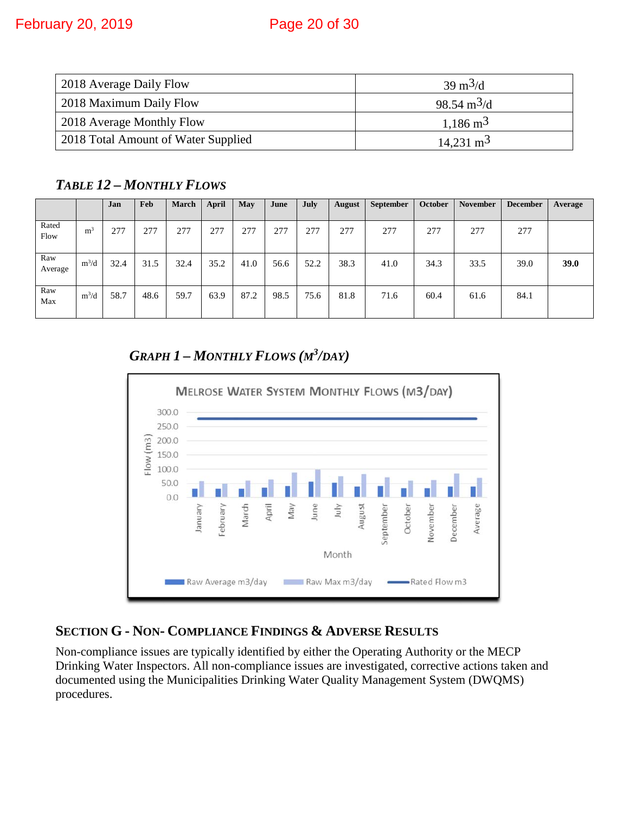| 2018 Average Daily Flow             | $39 \text{ m}^3/\text{d}$    |
|-------------------------------------|------------------------------|
| 2018 Maximum Daily Flow             | $98.54 \text{ m}^3/\text{d}$ |
| 2018 Average Monthly Flow           | $1,186 \text{ m}^3$          |
| 2018 Total Amount of Water Supplied | $14,231 \text{ m}^3$         |

<span id="page-19-0"></span>*TABLE 12 – MONTHLY FLOWS* 

|                |                | Jan  | Feb  | <b>March</b> | April | May  | June | July | <b>August</b> | <b>September</b> | October | <b>November</b> | <b>December</b> | Average |
|----------------|----------------|------|------|--------------|-------|------|------|------|---------------|------------------|---------|-----------------|-----------------|---------|
| Rated<br>Flow  | m <sup>3</sup> | 277  | 277  | 277          | 277   | 277  | 277  | 277  | 277           | 277              | 277     | 277             | 277             |         |
| Raw<br>Average | $m^3/d$        | 32.4 | 31.5 | 32.4         | 35.2  | 41.0 | 56.6 | 52.2 | 38.3          | 41.0             | 34.3    | 33.5            | 39.0            | 39.0    |
| Raw<br>Max     | $m^3/d$        | 58.7 | 48.6 | 59.7         | 63.9  | 87.2 | 98.5 | 75.6 | 81.8          | 71.6             | 60.4    | 61.6            | 84.1            |         |

*GRAPH 1 – MONTHLY FLOWS (M3 /DAY)*

<span id="page-19-1"></span>

#### <span id="page-19-2"></span>**SECTION G - NON- COMPLIANCE FINDINGS & ADVERSE RESULTS**

Non-compliance issues are typically identified by either the Operating Authority or the MECP Drinking Water Inspectors. All non-compliance issues are investigated, corrective actions taken and documented using the Municipalities Drinking Water Quality Management System (DWQMS) procedures.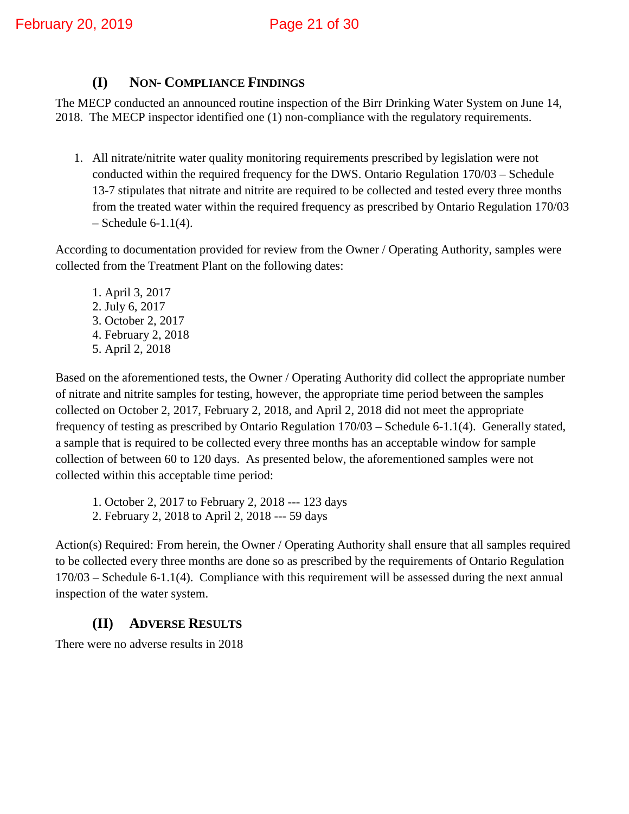#### **(I) NON- COMPLIANCE FINDINGS**

<span id="page-20-0"></span>The MECP conducted an announced routine inspection of the Birr Drinking Water System on June 14, 2018. The MECP inspector identified one (1) non-compliance with the regulatory requirements.

1. All nitrate/nitrite water quality monitoring requirements prescribed by legislation were not conducted within the required frequency for the DWS. Ontario Regulation 170/03 – Schedule 13-7 stipulates that nitrate and nitrite are required to be collected and tested every three months from the treated water within the required frequency as prescribed by Ontario Regulation 170/03  $-$  Schedule 6-1.1(4).

According to documentation provided for review from the Owner / Operating Authority, samples were collected from the Treatment Plant on the following dates:

1. April 3, 2017 2. July 6, 2017 3. October 2, 2017 4. February 2, 2018 5. April 2, 2018

Based on the aforementioned tests, the Owner / Operating Authority did collect the appropriate number of nitrate and nitrite samples for testing, however, the appropriate time period between the samples collected on October 2, 2017, February 2, 2018, and April 2, 2018 did not meet the appropriate frequency of testing as prescribed by Ontario Regulation 170/03 – Schedule 6-1.1(4). Generally stated, a sample that is required to be collected every three months has an acceptable window for sample collection of between 60 to 120 days. As presented below, the aforementioned samples were not collected within this acceptable time period:

1. October 2, 2017 to February 2, 2018 --- 123 days

2. February 2, 2018 to April 2, 2018 --- 59 days

Action(s) Required: From herein, the Owner / Operating Authority shall ensure that all samples required to be collected every three months are done so as prescribed by the requirements of Ontario Regulation 170/03 – Schedule 6-1.1(4). Compliance with this requirement will be assessed during the next annual inspection of the water system.

#### **(II) ADVERSE RESULTS**

<span id="page-20-1"></span>There were no adverse results in 2018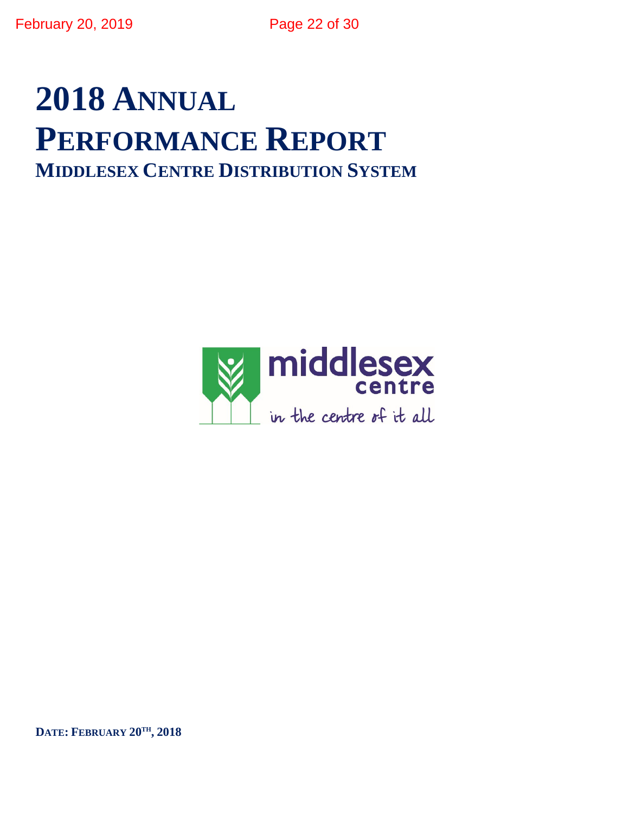# **2018 ANNUAL PERFORMANCE REPORT MIDDLESEX CENTRE DISTRIBUTION SYSTEM**



**DATE: FEBRUARY 20TH, 2018**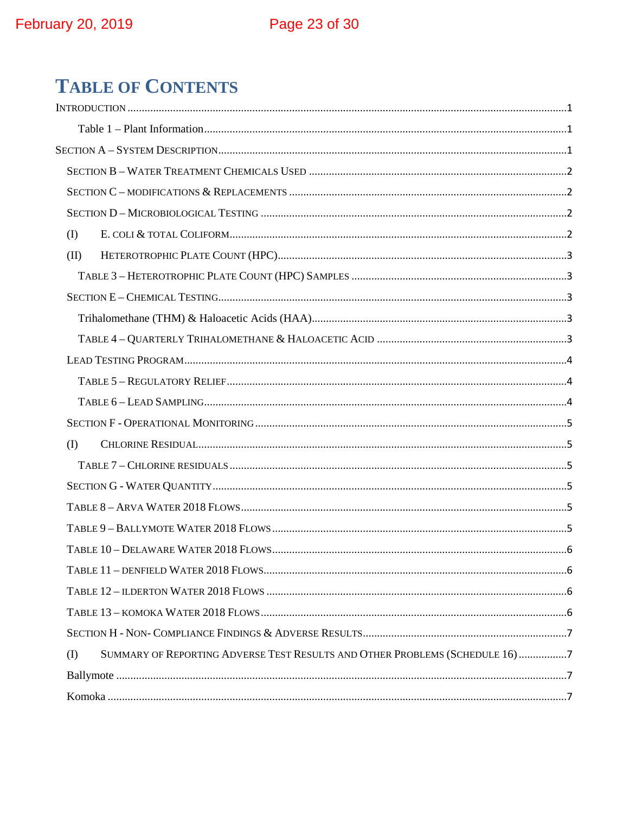## **TABLE OF CONTENTS**

| $($ $\Gamma$                                                                                 |  |
|----------------------------------------------------------------------------------------------|--|
| (II)                                                                                         |  |
|                                                                                              |  |
|                                                                                              |  |
|                                                                                              |  |
|                                                                                              |  |
|                                                                                              |  |
|                                                                                              |  |
|                                                                                              |  |
|                                                                                              |  |
| $\textcircled{1}$                                                                            |  |
|                                                                                              |  |
|                                                                                              |  |
|                                                                                              |  |
|                                                                                              |  |
|                                                                                              |  |
|                                                                                              |  |
|                                                                                              |  |
|                                                                                              |  |
|                                                                                              |  |
| SUMMARY OF REPORTING ADVERSE TEST RESULTS AND OTHER PROBLEMS (SCHEDULE 16) 7<br>$($ $\Gamma$ |  |
|                                                                                              |  |
|                                                                                              |  |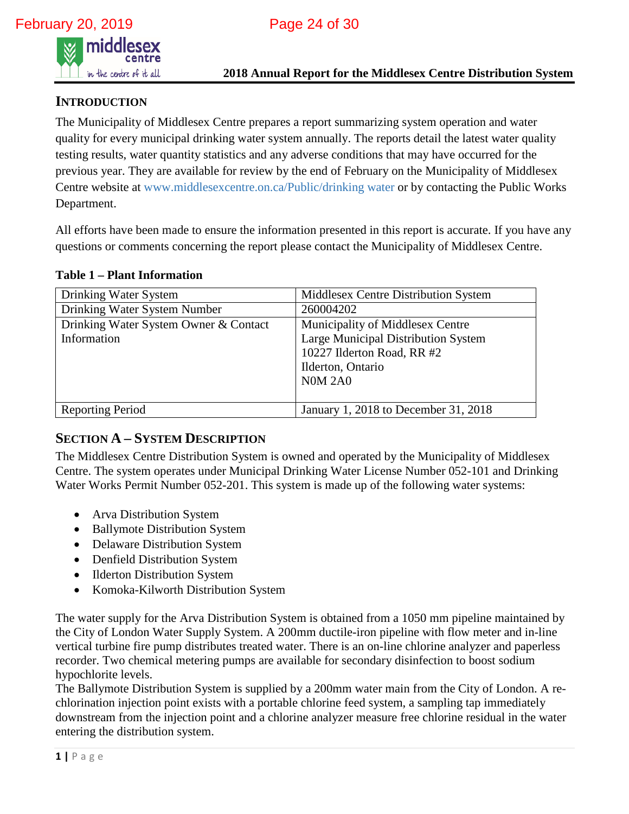

#### <span id="page-23-0"></span>**INTRODUCTION**

The Municipality of Middlesex Centre prepares a report summarizing system operation and water quality for every municipal drinking water system annually. The reports detail the latest water quality testing results, water quantity statistics and any adverse conditions that may have occurred for the previous year. They are available for review by the end of February on the Municipality of Middlesex Centre website at www.middlesexcentre.on.ca/Public/drinking water or by contacting the Public Works Department.

All efforts have been made to ensure the information presented in this report is accurate. If you have any questions or comments concerning the report please contact the Municipality of Middlesex Centre.

<span id="page-23-1"></span>**Table 1 – Plant Information** 

| Drinking Water System                 | Middlesex Centre Distribution System |
|---------------------------------------|--------------------------------------|
| Drinking Water System Number          | 260004202                            |
| Drinking Water System Owner & Contact | Municipality of Middlesex Centre     |
| Information                           | Large Municipal Distribution System  |
|                                       | 10227 Ilderton Road, RR #2           |
|                                       | Ilderton, Ontario                    |
|                                       | <b>N0M 2A0</b>                       |
|                                       |                                      |
| Reporting Period                      | January 1, 2018 to December 31, 2018 |

#### <span id="page-23-2"></span>**SECTION A – SYSTEM DESCRIPTION**

The Middlesex Centre Distribution System is owned and operated by the Municipality of Middlesex Centre. The system operates under Municipal Drinking Water License Number 052-101 and Drinking Water Works Permit Number 052-201. This system is made up of the following water systems:

- Arva Distribution System
- Ballymote Distribution System
- Delaware Distribution System
- Denfield Distribution System
- Ilderton Distribution System
- Komoka-Kilworth Distribution System

The water supply for the Arva Distribution System is obtained from a 1050 mm pipeline maintained by the City of London Water Supply System. A 200mm ductile-iron pipeline with flow meter and in-line vertical turbine fire pump distributes treated water. There is an on-line chlorine analyzer and paperless recorder. Two chemical metering pumps are available for secondary disinfection to boost sodium hypochlorite levels.

The Ballymote Distribution System is supplied by a 200mm water main from the City of London. A rechlorination injection point exists with a portable chlorine feed system, a sampling tap immediately downstream from the injection point and a chlorine analyzer measure free chlorine residual in the water entering the distribution system.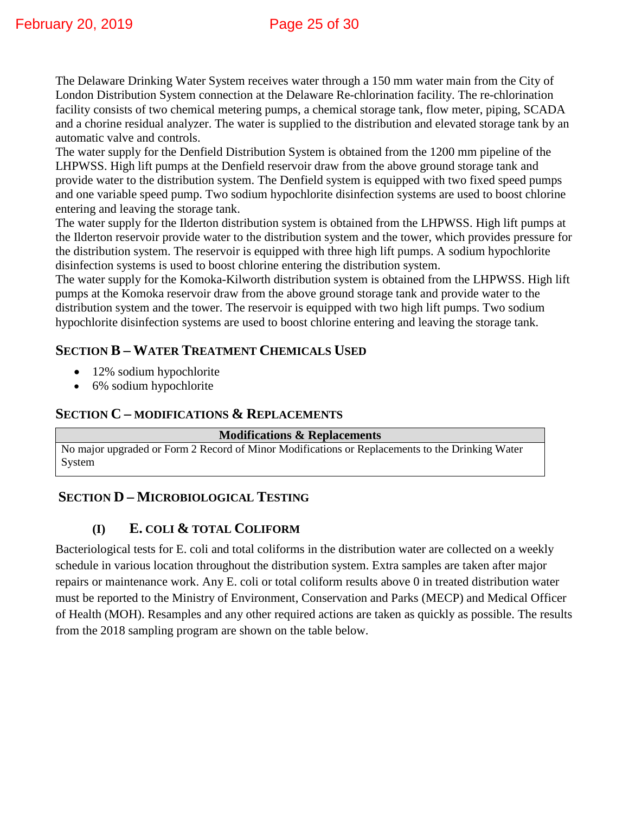The Delaware Drinking Water System receives water through a 150 mm water main from the City of London Distribution System connection at the Delaware Re-chlorination facility. The re-chlorination facility consists of two chemical metering pumps, a chemical storage tank, flow meter, piping, SCADA and a chorine residual analyzer. The water is supplied to the distribution and elevated storage tank by an automatic valve and controls.

The water supply for the Denfield Distribution System is obtained from the 1200 mm pipeline of the LHPWSS. High lift pumps at the Denfield reservoir draw from the above ground storage tank and provide water to the distribution system. The Denfield system is equipped with two fixed speed pumps and one variable speed pump. Two sodium hypochlorite disinfection systems are used to boost chlorine entering and leaving the storage tank.

The water supply for the Ilderton distribution system is obtained from the LHPWSS. High lift pumps at the Ilderton reservoir provide water to the distribution system and the tower, which provides pressure for the distribution system. The reservoir is equipped with three high lift pumps. A sodium hypochlorite disinfection systems is used to boost chlorine entering the distribution system.

The water supply for the Komoka-Kilworth distribution system is obtained from the LHPWSS. High lift pumps at the Komoka reservoir draw from the above ground storage tank and provide water to the distribution system and the tower. The reservoir is equipped with two high lift pumps. Two sodium hypochlorite disinfection systems are used to boost chlorine entering and leaving the storage tank.

#### <span id="page-24-0"></span>**SECTION B – WATER TREATMENT CHEMICALS USED**

- 12% sodium hypochlorite
- 6% sodium hypochlorite

#### <span id="page-24-1"></span>**SECTION C – MODIFICATIONS & REPLACEMENTS**

#### **Modifications & Replacements**

No major upgraded or Form 2 Record of Minor Modifications or Replacements to the Drinking Water System

#### <span id="page-24-3"></span><span id="page-24-2"></span>**SECTION D – MICROBIOLOGICAL TESTING**

#### **(I) E. COLI & TOTAL COLIFORM**

Bacteriological tests for E. coli and total coliforms in the distribution water are collected on a weekly schedule in various location throughout the distribution system. Extra samples are taken after major repairs or maintenance work. Any E. coli or total coliform results above 0 in treated distribution water must be reported to the Ministry of Environment, Conservation and Parks (MECP) and Medical Officer of Health (MOH). Resamples and any other required actions are taken as quickly as possible. The results from the 2018 sampling program are shown on the table below.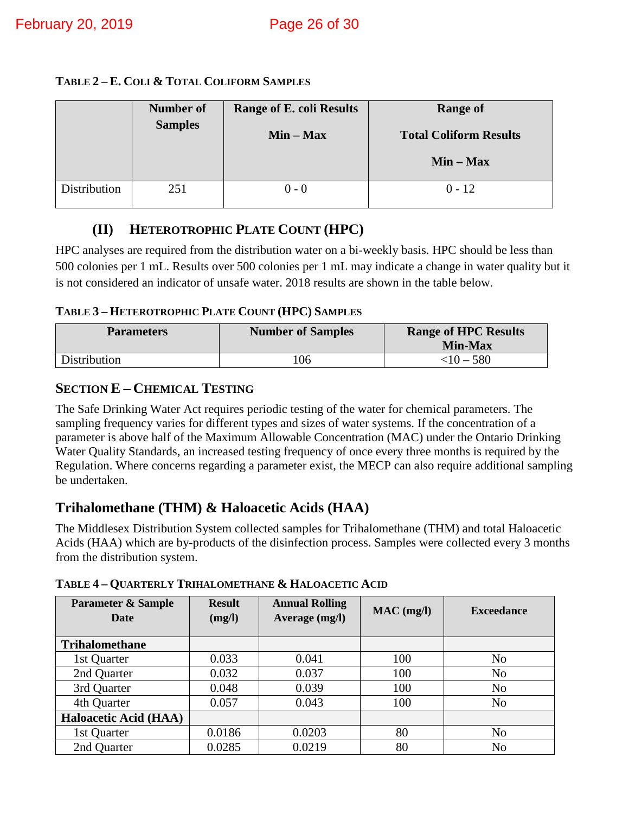#### **TABLE 2 – E. COLI & TOTAL COLIFORM SAMPLES**

|              | <b>Number of</b><br><b>Samples</b> | <b>Range of E. coli Results</b><br>$Min - Max$ | <b>Range of</b><br><b>Total Coliform Results</b> |
|--------------|------------------------------------|------------------------------------------------|--------------------------------------------------|
|              |                                    |                                                | $Min - Max$                                      |
| Distribution | 251                                | $0 - 0$                                        | $0 - 12$                                         |

#### **(II) HETEROTROPHIC PLATE COUNT (HPC)**

<span id="page-25-0"></span>HPC analyses are required from the distribution water on a bi-weekly basis. HPC should be less than 500 colonies per 1 mL. Results over 500 colonies per 1 mL may indicate a change in water quality but it is not considered an indicator of unsafe water. 2018 results are shown in the table below.

#### <span id="page-25-1"></span>**TABLE 3 – HETEROTROPHIC PLATE COUNT (HPC) SAMPLES**

| <b>Parameters</b> | <b>Number of Samples</b> | <b>Range of HPC Results</b><br><b>Min-Max</b> |
|-------------------|--------------------------|-----------------------------------------------|
| Distribution      | 06                       | $<$ 10 – 580                                  |

#### <span id="page-25-2"></span>**SECTION E – CHEMICAL TESTING**

The Safe Drinking Water Act requires periodic testing of the water for chemical parameters. The sampling frequency varies for different types and sizes of water systems. If the concentration of a parameter is above half of the Maximum Allowable Concentration (MAC) under the Ontario Drinking Water Quality Standards, an increased testing frequency of once every three months is required by the Regulation. Where concerns regarding a parameter exist, the MECP can also require additional sampling be undertaken.

#### <span id="page-25-3"></span>**Trihalomethane (THM) & Haloacetic Acids (HAA)**

The Middlesex Distribution System collected samples for Trihalomethane (THM) and total Haloacetic Acids (HAA) which are by-products of the disinfection process. Samples were collected every 3 months from the distribution system.

| <b>Parameter &amp; Sample</b><br>Date | <b>Result</b><br>(mg/l) | <b>Annual Rolling</b><br>Average (mg/l) | $MAC$ (mg/l) | <b>Exceedance</b> |
|---------------------------------------|-------------------------|-----------------------------------------|--------------|-------------------|
| <b>Trihalomethane</b>                 |                         |                                         |              |                   |
| 1st Quarter                           | 0.033                   | 0.041                                   | 100          | No                |
| 2nd Quarter                           | 0.032                   | 0.037                                   | 100          | N <sub>o</sub>    |
| 3rd Quarter                           | 0.048                   | 0.039                                   | 100          | N <sub>o</sub>    |
| 4th Quarter                           | 0.057                   | 0.043                                   | 100          | N <sub>o</sub>    |
| <b>Haloacetic Acid (HAA)</b>          |                         |                                         |              |                   |
| 1st Quarter                           | 0.0186                  | 0.0203                                  | 80           | N <sub>o</sub>    |
| 2nd Quarter                           | 0.0285                  | 0.0219                                  | 80           | N <sub>o</sub>    |

<span id="page-25-4"></span>**TABLE 4 – QUARTERLY TRIHALOMETHANE & HALOACETIC ACID**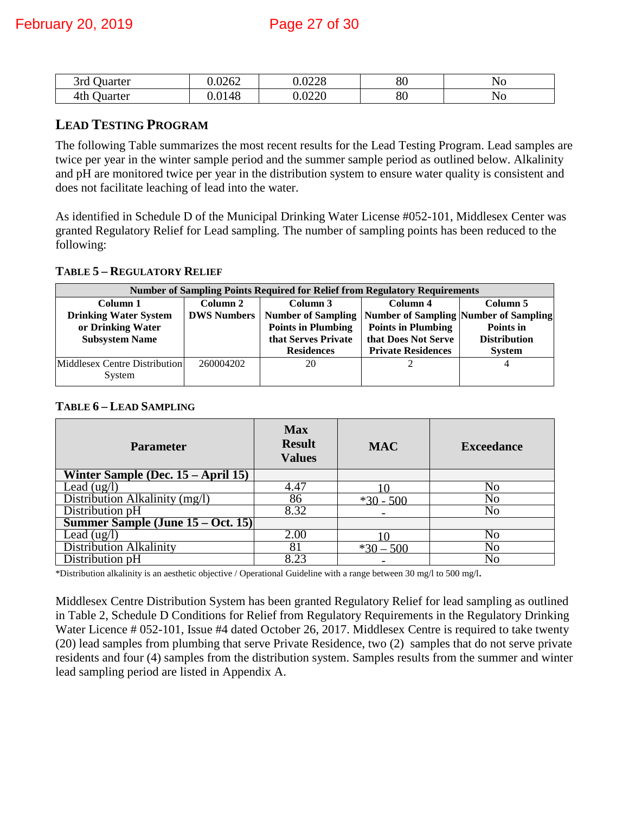| 3rd<br>Juarter | 0.0262            | റററ<br>.∪∠∠o | ററ<br>δU | N <sub>C</sub> |
|----------------|-------------------|--------------|----------|----------------|
| 4th<br>Juarter | !48<br>$\Omega$ 1 | .0220        | or<br>δU | N <sub>0</sub> |

#### <span id="page-26-0"></span>**LEAD TESTING PROGRAM**

The following Table summarizes the most recent results for the Lead Testing Program. Lead samples are twice per year in the winter sample period and the summer sample period as outlined below. Alkalinity and pH are monitored twice per year in the distribution system to ensure water quality is consistent and does not facilitate leaching of lead into the water.

As identified in Schedule D of the Municipal Drinking Water License #052-101, Middlesex Center was granted Regulatory Relief for Lead sampling. The number of sampling points has been reduced to the following:

<span id="page-26-1"></span>**TABLE 5 – REGULATORY RELIEF**

| <b>Number of Sampling Points Required for Relief from Regulatory Requirements</b> |                    |                                                              |                           |                     |  |  |  |
|-----------------------------------------------------------------------------------|--------------------|--------------------------------------------------------------|---------------------------|---------------------|--|--|--|
| Column 1                                                                          | Column 2           | Column 3                                                     | Column 4                  | Column 5            |  |  |  |
| <b>Drinking Water System</b>                                                      | <b>DWS Numbers</b> | Number of Sampling   Number of Sampling   Number of Sampling |                           |                     |  |  |  |
| or Drinking Water                                                                 |                    | <b>Points in Plumbing</b>                                    | <b>Points in Plumbing</b> | Points in           |  |  |  |
| <b>Subsystem Name</b>                                                             |                    | that Serves Private                                          | that Does Not Serve       | <b>Distribution</b> |  |  |  |
|                                                                                   |                    | <b>Residences</b>                                            | <b>Private Residences</b> | <b>System</b>       |  |  |  |
| Middlesex Centre Distribution<br>System                                           | 260004202          | 20                                                           |                           | 4                   |  |  |  |

#### <span id="page-26-2"></span>**TABLE 6 – LEAD SAMPLING**

| <b>Parameter</b>                      | <b>Max</b><br><b>Result</b><br><b>Values</b> | <b>MAC</b>  | <b>Exceedance</b> |
|---------------------------------------|----------------------------------------------|-------------|-------------------|
| Winter Sample (Dec. $15 - April 15$ ) |                                              |             |                   |
| Lead $(ug/l)$                         | 4.47                                         |             | No                |
| Distribution Alkalinity (mg/l)        | 86                                           | $*30 - 500$ | No                |
| Distribution pH                       | 8.32                                         |             | No                |
| Summer Sample (June 15 – Oct. 15)     |                                              |             |                   |
| Lead $(ug/l)$                         | 2.00                                         |             | No                |
| <b>Distribution Alkalinity</b>        | 81                                           | $*30 - 500$ | No                |
| Distribution pH                       | 8.23                                         |             | No                |

\*Distribution alkalinity is an aesthetic objective / Operational Guideline with a range between 30 mg/l to 500 mg/l.

Middlesex Centre Distribution System has been granted Regulatory Relief for lead sampling as outlined in Table 2, Schedule D Conditions for Relief from Regulatory Requirements in the Regulatory Drinking Water Licence # 052-101, Issue #4 dated October 26, 2017. Middlesex Centre is required to take twenty (20) lead samples from plumbing that serve Private Residence, two (2) samples that do not serve private residents and four (4) samples from the distribution system. Samples results from the summer and winter lead sampling period are listed in Appendix A.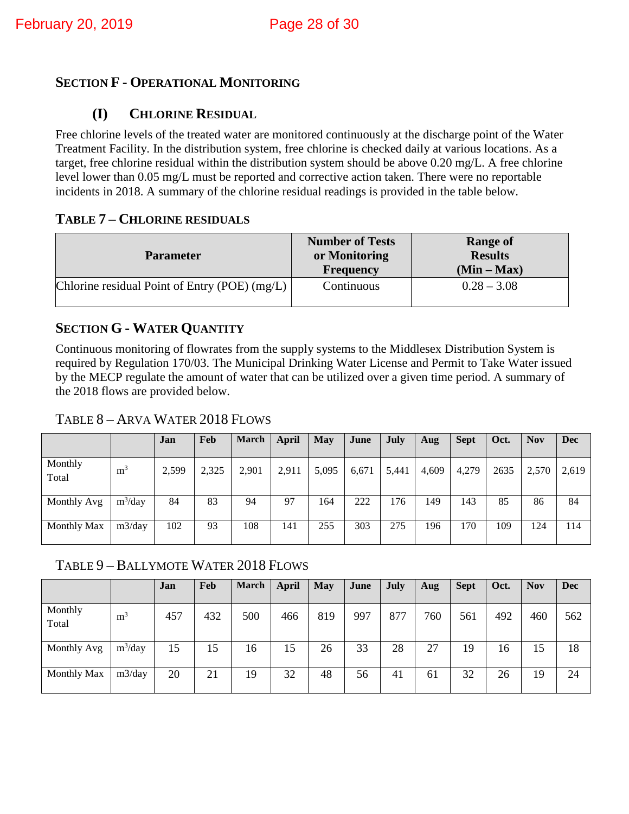#### <span id="page-27-1"></span><span id="page-27-0"></span>**SECTION F - OPERATIONAL MONITORING**

#### **(I) CHLORINE RESIDUAL**

Free chlorine levels of the treated water are monitored continuously at the discharge point of the Water Treatment Facility. In the distribution system, free chlorine is checked daily at various locations. As a target, free chlorine residual within the distribution system should be above 0.20 mg/L. A free chlorine level lower than 0.05 mg/L must be reported and corrective action taken. There were no reportable incidents in 2018. A summary of the chlorine residual readings is provided in the table below.

#### <span id="page-27-2"></span>**TABLE 7 – CHLORINE RESIDUALS**

| <b>Parameter</b>                              | <b>Number of Tests</b><br>or Monitoring<br><b>Frequency</b> | <b>Range of</b><br><b>Results</b><br>$(Min - Max)$ |
|-----------------------------------------------|-------------------------------------------------------------|----------------------------------------------------|
| Chlorine residual Point of Entry (POE) (mg/L) | Continuous                                                  | $0.28 - 3.08$                                      |

#### <span id="page-27-3"></span>**SECTION G - WATER QUANTITY**

Continuous monitoring of flowrates from the supply systems to the Middlesex Distribution System is required by Regulation 170/03. The Municipal Drinking Water License and Permit to Take Water issued by the MECP regulate the amount of water that can be utilized over a given time period. A summary of the 2018 flows are provided below.

#### <span id="page-27-4"></span>TABLE 8 – ARVA WATER 2018 FLOWS

|                  |                | Jan   | Feb   | <b>March</b> | April | <b>May</b> | June  | July  | Aug   | <b>Sept</b> | Oct. | <b>Nov</b> | <b>Dec</b> |
|------------------|----------------|-------|-------|--------------|-------|------------|-------|-------|-------|-------------|------|------------|------------|
| Monthly<br>Total | m <sup>3</sup> | 2,599 | 2,325 | 2,901        | 2,911 | 5,095      | 6,671 | 5,441 | 4,609 | 4,279       | 2635 | 2,570      | 2,619      |
| Monthly Avg      | $m^3$ /day     | 84    | 83    | 94           | 97    | 164        | 222   | 176   | 149   | 143         | 85   | 86         | 84         |
| Monthly Max      | m3/day         | 102   | 93    | 108          | 141   | 255        | 303   | 275   | 196   | 170         | 109  | 124        | 114        |

#### <span id="page-27-5"></span>TABLE 9 – BALLYMOTE WATER 2018 FLOWS

|                  |                | Jan | Feb | <b>March</b> | <b>April</b> | <b>May</b> | June | July | Aug | <b>Sept</b> | Oct. | <b>Nov</b> | <b>Dec</b> |
|------------------|----------------|-----|-----|--------------|--------------|------------|------|------|-----|-------------|------|------------|------------|
| Monthly<br>Total | m <sup>3</sup> | 457 | 432 | 500          | 466          | 819        | 997  | 877  | 760 | 561         | 492  | 460        | 562        |
| Monthly Avg      | $m^3$ /day     | 15  | 15  | 16           | 15           | 26         | 33   | 28   | 27  | 19          | 16   | 15         | 18         |
| Monthly Max      | m3/day         | 20  | 21  | 19           | 32           | 48         | 56   | 41   | 61  | 32          | 26   | 19         | 24         |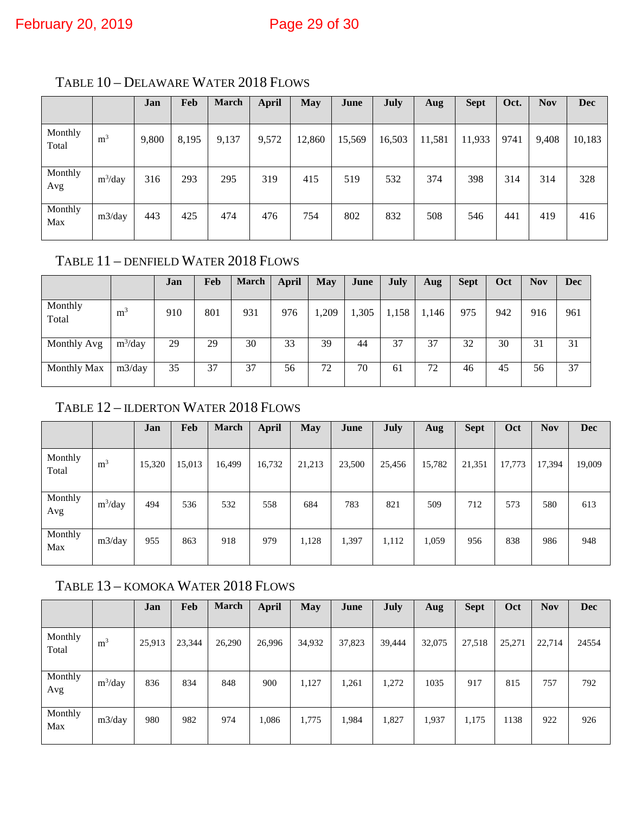|                  |                | Jan   | Feb   | <b>March</b> | <b>April</b> | <b>May</b> | June   | July   | Aug    | <b>Sept</b> | Oct. | <b>Nov</b> | <b>Dec</b> |
|------------------|----------------|-------|-------|--------------|--------------|------------|--------|--------|--------|-------------|------|------------|------------|
| Monthly<br>Total | m <sup>3</sup> | 9,800 | 8,195 | 9,137        | 9,572        | 12,860     | 15,569 | 16,503 | 11,581 | 11,933      | 9741 | 9,408      | 10,183     |
| Monthly<br>Avg   | $m^3$ /day     | 316   | 293   | 295          | 319          | 415        | 519    | 532    | 374    | 398         | 314  | 314        | 328        |
| Monthly<br>Max   | m3/day         | 443   | 425   | 474          | 476          | 754        | 802    | 832    | 508    | 546         | 441  | 419        | 416        |

<span id="page-28-0"></span>TABLE 10 – DELAWARE WATER 2018 FLOWS

### <span id="page-28-1"></span>TABLE 11 – DENFIELD WATER 2018 FLOWS

|                  |                | Jan | Feb | <b>March</b> | <b>April</b> | <b>May</b> | June  | July  | Aug   | <b>Sept</b> | Oct | <b>Nov</b> | <b>Dec</b> |
|------------------|----------------|-----|-----|--------------|--------------|------------|-------|-------|-------|-------------|-----|------------|------------|
| Monthly<br>Total | m <sup>3</sup> | 910 | 801 | 931          | 976          | ,209       | 1,305 | 1,158 | 1,146 | 975         | 942 | 916        | 961        |
| Monthly Avg      | $m^3$ /day     | 29  | 29  | 30           | 33           | 39         | 44    | 37    | 37    | 32          | 30  | 31         | 31         |
| Monthly Max      | m3/day         | 35  | 37  | 37           | 56           | 72         | 70    | 61    | 72    | 46          | 45  | 56         | 37         |

#### <span id="page-28-2"></span>TABLE 12 – ILDERTON WATER 2018 FLOWS

|                  |                | Jan    | Feb    | <b>March</b> | <b>April</b> | <b>May</b> | June   | <b>July</b> | Aug    | <b>Sept</b> | Oct    | <b>Nov</b> | <b>Dec</b> |
|------------------|----------------|--------|--------|--------------|--------------|------------|--------|-------------|--------|-------------|--------|------------|------------|
| Monthly<br>Total | m <sup>3</sup> | 15,320 | 15,013 | 16,499       | 16,732       | 21,213     | 23,500 | 25,456      | 15,782 | 21,351      | 17,773 | 17,394     | 19,009     |
| Monthly<br>Avg   | $m^3$ /day     | 494    | 536    | 532          | 558          | 684        | 783    | 821         | 509    | 712         | 573    | 580        | 613        |
| Monthly<br>Max   | m3/day         | 955    | 863    | 918          | 979          | 1,128      | 1,397  | 1,112       | 1,059  | 956         | 838    | 986        | 948        |

### <span id="page-28-3"></span>TABLE 13 – KOMOKA WATER 2018 FLOWS

|                  |                | Jan    | Feb    | <b>March</b> | <b>April</b> | <b>May</b> | June   | <b>July</b> | Aug    | <b>Sept</b> | Oct    | <b>Nov</b> | <b>Dec</b> |
|------------------|----------------|--------|--------|--------------|--------------|------------|--------|-------------|--------|-------------|--------|------------|------------|
| Monthly<br>Total | m <sup>3</sup> | 25,913 | 23,344 | 26,290       | 26,996       | 34,932     | 37,823 | 39,444      | 32,075 | 27,518      | 25,271 | 22,714     | 24554      |
| Monthly<br>Avg   | $m^3$ /day     | 836    | 834    | 848          | 900          | 1,127      | 1,261  | 1,272       | 1035   | 917         | 815    | 757        | 792        |
| Monthly<br>Max   | m3/day         | 980    | 982    | 974          | 1,086        | 1,775      | 1,984  | 1,827       | 1,937  | 1,175       | 1138   | 922        | 926        |